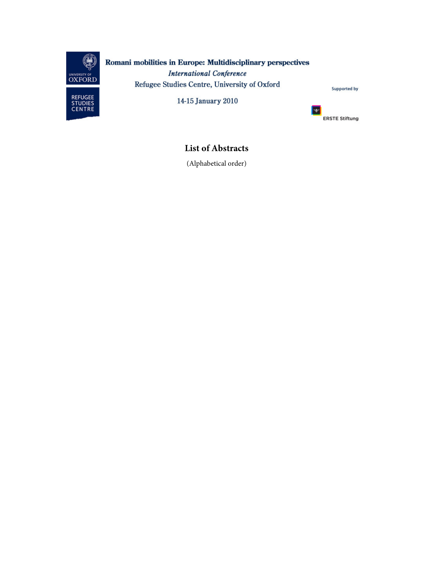

# Romani mobilities in Europe: Multidisciplinary perspectives **International Conference** Refugee Studies Centre, University of Oxford



14-15 January 2010



 $\blacksquare$ **ERSTE Stiftung** 

**List of Abstracts** 

(Alphabetical order)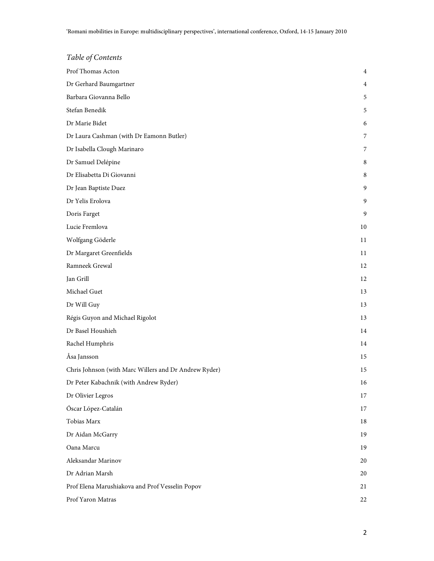| Table of Contents                                     |    |
|-------------------------------------------------------|----|
| Prof Thomas Acton                                     | 4  |
| Dr Gerhard Baumgartner                                | 4  |
| Barbara Giovanna Bello                                | 5  |
| Stefan Benedik                                        | 5  |
| Dr Marie Bidet                                        | 6  |
| Dr Laura Cashman (with Dr Eamonn Butler)              | 7  |
| Dr Isabella Clough Marinaro                           | 7  |
| Dr Samuel Delépine                                    | 8  |
| Dr Elisabetta Di Giovanni                             | 8  |
| Dr Jean Baptiste Duez                                 | 9  |
| Dr Yelis Erolova                                      | 9  |
| Doris Farget                                          | 9  |
| Lucie Fremlova                                        | 10 |
| Wolfgang Göderle                                      | 11 |
| Dr Margaret Greenfields                               | 11 |
| Ramneek Grewal                                        | 12 |
| Jan Grill                                             | 12 |
| Michael Guet                                          | 13 |
| Dr Will Guy                                           | 13 |
| Régis Guyon and Michael Rigolot                       | 13 |
| Dr Basel Houshieh                                     | 14 |
| Rachel Humphris                                       | 14 |
| Åsa Jansson                                           | 15 |
| Chris Johnson (with Marc Willers and Dr Andrew Ryder) | 15 |
| Dr Peter Kabachnik (with Andrew Ryder)                | 16 |
| Dr Olivier Legros                                     | 17 |
| Óscar López-Catalán                                   | 17 |
| Tobias Marx                                           | 18 |
| Dr Aidan McGarry                                      | 19 |
| Oana Marcu                                            | 19 |
| Aleksandar Marinov                                    | 20 |
| Dr Adrian Marsh                                       | 20 |
| Prof Elena Marushiakova and Prof Vesselin Popov       | 21 |
| Prof Yaron Matras                                     | 22 |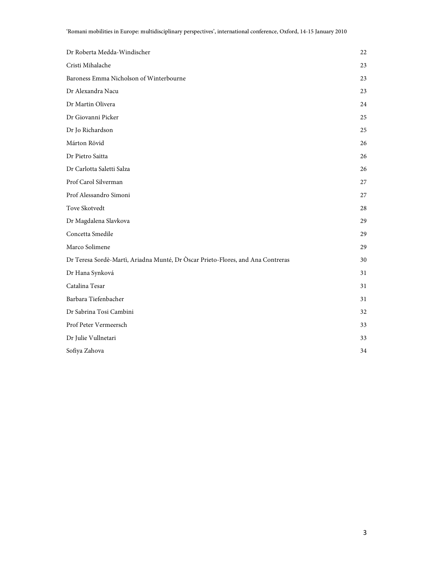| Dr Roberta Medda-Windischer                                                     | $22\,$ |
|---------------------------------------------------------------------------------|--------|
| Cristi Mihalache                                                                | 23     |
| Baroness Emma Nicholson of Winterbourne                                         | 23     |
| Dr Alexandra Nacu                                                               | 23     |
| Dr Martin Olivera                                                               | 24     |
| Dr Giovanni Picker                                                              | 25     |
| Dr Jo Richardson                                                                | 25     |
| Márton Rövid                                                                    | 26     |
| Dr Pietro Saitta                                                                | 26     |
| Dr Carlotta Saletti Salza                                                       | 26     |
| Prof Carol Silverman                                                            | 27     |
| Prof Alessandro Simoni                                                          | 27     |
| Tove Skotvedt                                                                   | 28     |
| Dr Magdalena Slavkova                                                           | 29     |
| Concetta Smedile                                                                | 29     |
| Marco Solimene                                                                  | 29     |
| Dr Teresa Sordè-Martì, Ariadna Munté, Dr Òscar Prieto-Flores, and Ana Contreras | 30     |
| Dr Hana Synková                                                                 | 31     |
| Catalina Tesar                                                                  | 31     |
| Barbara Tiefenbacher                                                            | 31     |
| Dr Sabrina Tosi Cambini                                                         | 32     |
| Prof Peter Vermeersch                                                           | 33     |
| Dr Julie Vullnetari                                                             | 33     |
| Sofiya Zahova                                                                   | 34     |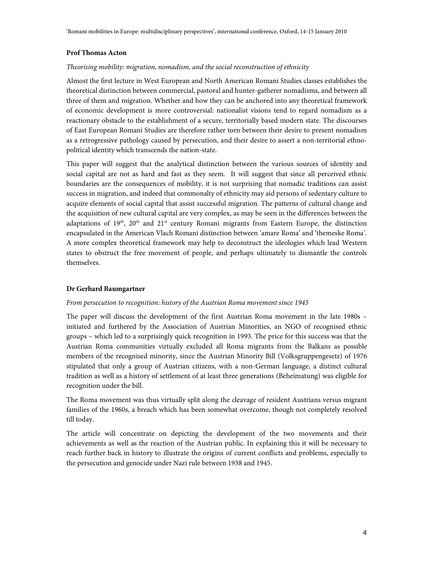### **Prof Thomas Acton**

### Theorising mobility: migration, nomadism, and the social reconstruction of ethnicity

Almost the first lecture in West European and North American Romani Studies classes establishes the theoretical distinction between commercial, pastoral and hunter-gatherer nomadisms, and between all three of them and migration. Whether and how they can be anchored into any theoretical framework of economic development is more controversial: nationalist visions tend to regard nomadism as a reactionary obstacle to the establishment of a secure, territorially based modern state. The discourses of East European Romani Studies are therefore rather torn between their desire to present nomadism as a retrogressive pathology caused by persecution, and their desire to assert a non-territorial ethnopolitical identity which transcends the nation-state.

This paper will suggest that the analytical distinction between the various sources of identity and social capital are not as hard and fast as they seem. It will suggest that since all perceived ethnic boundaries are the consequences of mobility, it is not surprising that nomadic traditions can assist success in migration, and indeed that commonalty of ethnicity may aid persons of sedentary culture to acquire elements of social capital that assist successful migration. The patterns of cultural change and the acquisition of new cultural capital are very complex, as may be seen in the differences between the adaptations of  $19<sup>th</sup>$ ,  $20<sup>th</sup>$  and  $21<sup>st</sup>$  century Romani migrants from Eastern Europe, the distinction encapsulated in the American Vlach Romani distinction between 'amare Roma' and 'themeske Roma'. A more complex theoretical framework may help to deconstruct the ideologies which lead Western states to obstruct the free movement of people, and perhaps ultimately to dismantle the controls themselves.

### **Dr Gerhard Baumgartner**

### From persecution to recognition: history of the Austrian Roma movement since 1945

The paper will discuss the development of the first Austrian Roma movement in the late 1980s – initiated and furthered by the Association of Austrian Minorities, an NGO of recognised ethnic groups – which led to a surprisingly quick recognition in 1993. The price for this success was that the Austrian Roma communities virtually excluded all Roma migrants from the Balkans as possible members of the recognised minority, since the Austrian Minority Bill (Volksgruppengesetz) of 1976 stipulated that only a group of Austrian citizens, with a non-German language, a distinct cultural tradition as well as a history of settlement of at least three generations (Beheimatung) was eligible for recognition under the bill.

The Roma movement was thus virtually split along the cleavage of resident Austrians versus migrant families of the 1960s, a breach which has been somewhat overcome, though not completely resolved till today.

The article will concentrate on depicting the development of the two movements and their achievements as well as the reaction of the Austrian public. In explaining this it will be necessary to reach further back in history to illustrate the origins of current conflicts and problems, especially to the persecution and genocide under Nazi rule between 1938 and 1945.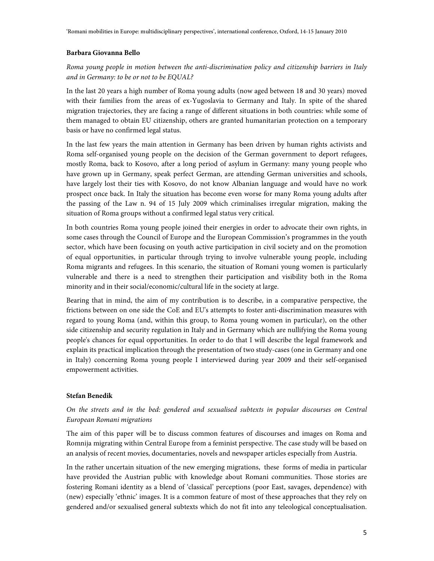# **Barbara Giovanna Bello**

# Roma young people in motion between the anti-discrimination policy and citizenship barriers in Italy and in Germany: to be or not to be EQUAL?

In the last 20 years a high number of Roma young adults (now aged between 18 and 30 years) moved with their families from the areas of ex-Yugoslavia to Germany and Italy. In spite of the shared migration trajectories, they are facing a range of different situations in both countries: while some of them managed to obtain EU citizenship, others are granted humanitarian protection on a temporary basis or have no confirmed legal status.

In the last few years the main attention in Germany has been driven by human rights activists and Roma self-organised young people on the decision of the German government to deport refugees, mostly Roma, back to Kosovo, after a long period of asylum in Germany: many young people who have grown up in Germany, speak perfect German, are attending German universities and schools, have largely lost their ties with Kosovo, do not know Albanian language and would have no work prospect once back. In Italy the situation has become even worse for many Roma young adults after the passing of the Law n. 94 of 15 July 2009 which criminalises irregular migration, making the situation of Roma groups without a confirmed legal status very critical.

In both countries Roma young people joined their energies in order to advocate their own rights, in some cases through the Council of Europe and the European Commission's programmes in the youth sector, which have been focusing on youth active participation in civil society and on the promotion of equal opportunities, in particular through trying to involve vulnerable young people, including Roma migrants and refugees. In this scenario, the situation of Romani young women is particularly vulnerable and there is a need to strengthen their participation and visibility both in the Roma minority and in their social/economic/cultural life in the society at large.

Bearing that in mind, the aim of my contribution is to describe, in a comparative perspective, the frictions between on one side the CoE and EU's attempts to foster anti-discrimination measures with regard to young Roma (and, within this group, to Roma young women in particular), on the other side citizenship and security regulation in Italy and in Germany which are nullifying the Roma young people's chances for equal opportunities. In order to do that I will describe the legal framework and explain its practical implication through the presentation of two study-cases (one in Germany and one in Italy) concerning Roma young people I interviewed during year 2009 and their self-organised empowerment activities.

# **Stefan Benedik**

# On the streets and in the bed: gendered and sexualised subtexts in popular discourses on Central European Romani migrations

The aim of this paper will be to discuss common features of discourses and images on Roma and Romnija migrating within Central Europe from a feminist perspective. The case study will be based on an analysis of recent movies, documentaries, novels and newspaper articles especially from Austria.

In the rather uncertain situation of the new emerging migrations, these forms of media in particular have provided the Austrian public with knowledge about Romani communities. Those stories are fostering Romani identity as a blend of 'classical' perceptions (poor East, savages, dependence) with (new) especially 'ethnic' images. It is a common feature of most of these approaches that they rely on gendered and/or sexualised general subtexts which do not fit into any teleological conceptualisation.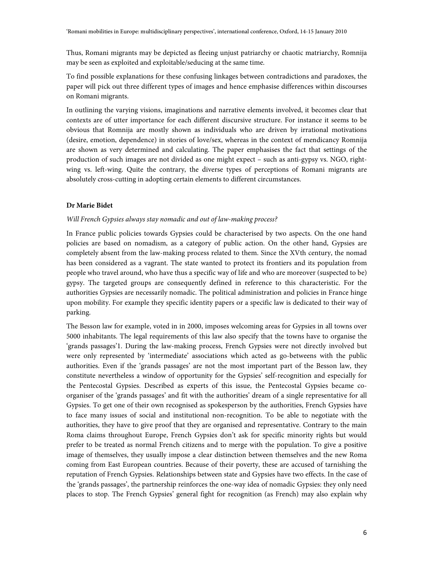Thus, Romani migrants may be depicted as fleeing unjust patriarchy or chaotic matriarchy, Romnija may be seen as exploited and exploitable/seducing at the same time.

To find possible explanations for these confusing linkages between contradictions and paradoxes, the paper will pick out three different types of images and hence emphasise differences within discourses on Romani migrants.

In outlining the varying visions, imaginations and narrative elements involved, it becomes clear that contexts are of utter importance for each different discursive structure. For instance it seems to be obvious that Romnija are mostly shown as individuals who are driven by irrational motivations (desire, emotion, dependence) in stories of love/sex, whereas in the context of mendicancy Romnija are shown as very determined and calculating. The paper emphasises the fact that settings of the production of such images are not divided as one might expect – such as anti-gypsy vs. NGO, rightwing vs. left-wing. Quite the contrary, the diverse types of perceptions of Romani migrants are absolutely cross-cutting in adopting certain elements to different circumstances.

### **Dr Marie Bidet**

# Will French Gypsies always stay nomadic and out of law-making process?

In France public policies towards Gypsies could be characterised by two aspects. On the one hand policies are based on nomadism, as a category of public action. On the other hand, Gypsies are completely absent from the law-making process related to them. Since the XVth century, the nomad has been considered as a vagrant. The state wanted to protect its frontiers and its population from people who travel around, who have thus a specific way of life and who are moreover (suspected to be) gypsy. The targeted groups are consequently defined in reference to this characteristic. For the authorities Gypsies are necessarily nomadic. The political administration and policies in France hinge upon mobility. For example they specific identity papers or a specific law is dedicated to their way of parking.

The Besson law for example, voted in in 2000, imposes welcoming areas for Gypsies in all towns over 5000 inhabitants. The legal requirements of this law also specify that the towns have to organise the 'grands passages'1. During the law-making process, French Gypsies were not directly involved but were only represented by 'intermediate' associations which acted as go-betweens with the public authorities. Even if the 'grands passages' are not the most important part of the Besson law, they constitute nevertheless a window of opportunity for the Gypsies' self-recognition and especially for the Pentecostal Gypsies. Described as experts of this issue, the Pentecostal Gypsies became coorganiser of the 'grands passages' and fit with the authorities' dream of a single representative for all Gypsies. To get one of their own recognised as spokesperson by the authorities, French Gypsies have to face many issues of social and institutional non-recognition. To be able to negotiate with the authorities, they have to give proof that they are organised and representative. Contrary to the main Roma claims throughout Europe, French Gypsies don't ask for specific minority rights but would prefer to be treated as normal French citizens and to merge with the population. To give a positive image of themselves, they usually impose a clear distinction between themselves and the new Roma coming from East European countries. Because of their poverty, these are accused of tarnishing the reputation of French Gypsies. Relationships between state and Gypsies have two effects. In the case of the 'grands passages', the partnership reinforces the one-way idea of nomadic Gypsies: they only need places to stop. The French Gypsies' general fight for recognition (as French) may also explain why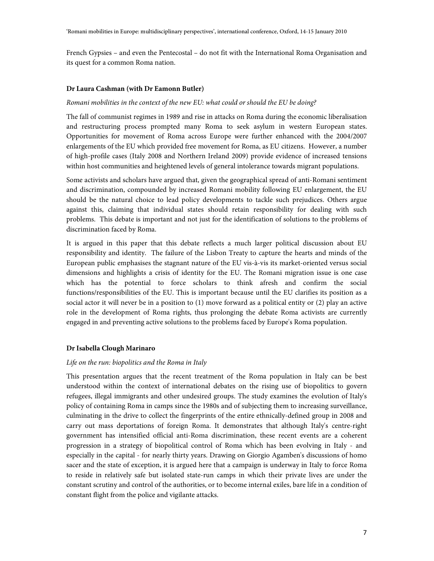French Gypsies – and even the Pentecostal – do not fit with the International Roma Organisation and its quest for a common Roma nation.

### **Dr Laura Cashman (with Dr Eamonn Butler)**

### Romani mobilities in the context of the new EU: what could or should the EU be doing?

The fall of communist regimes in 1989 and rise in attacks on Roma during the economic liberalisation and restructuring process prompted many Roma to seek asylum in western European states. Opportunities for movement of Roma across Europe were further enhanced with the 2004/2007 enlargements of the EU which provided free movement for Roma, as EU citizens. However, a number of high-profile cases (Italy 2008 and Northern Ireland 2009) provide evidence of increased tensions within host communities and heightened levels of general intolerance towards migrant populations.

Some activists and scholars have argued that, given the geographical spread of anti-Romani sentiment and discrimination, compounded by increased Romani mobility following EU enlargement, the EU should be the natural choice to lead policy developments to tackle such prejudices. Others argue against this, claiming that individual states should retain responsibility for dealing with such problems. This debate is important and not just for the identification of solutions to the problems of discrimination faced by Roma.

It is argued in this paper that this debate reflects a much larger political discussion about EU responsibility and identity. The failure of the Lisbon Treaty to capture the hearts and minds of the European public emphasises the stagnant nature of the EU vis-à-vis its market-oriented versus social dimensions and highlights a crisis of identity for the EU. The Romani migration issue is one case which has the potential to force scholars to think afresh and confirm the social functions/responsibilities of the EU. This is important because until the EU clarifies its position as a social actor it will never be in a position to (1) move forward as a political entity or (2) play an active role in the development of Roma rights, thus prolonging the debate Roma activists are currently engaged in and preventing active solutions to the problems faced by Europe's Roma population.

# **Dr Isabella Clough Marinaro**

### Life on the run: biopolitics and the Roma in Italy

This presentation argues that the recent treatment of the Roma population in Italy can be best understood within the context of international debates on the rising use of biopolitics to govern refugees, illegal immigrants and other undesired groups. The study examines the evolution of Italy's policy of containing Roma in camps since the 1980s and of subjecting them to increasing surveillance, culminating in the drive to collect the fingerprints of the entire ethnically-defined group in 2008 and carry out mass deportations of foreign Roma. It demonstrates that although Italy's centre-right government has intensified official anti-Roma discrimination, these recent events are a coherent progression in a strategy of biopolitical control of Roma which has been evolving in Italy - and especially in the capital - for nearly thirty years. Drawing on Giorgio Agamben's discussions of homo sacer and the state of exception, it is argued here that a campaign is underway in Italy to force Roma to reside in relatively safe but isolated state-run camps in which their private lives are under the constant scrutiny and control of the authorities, or to become internal exiles, bare life in a condition of constant flight from the police and vigilante attacks.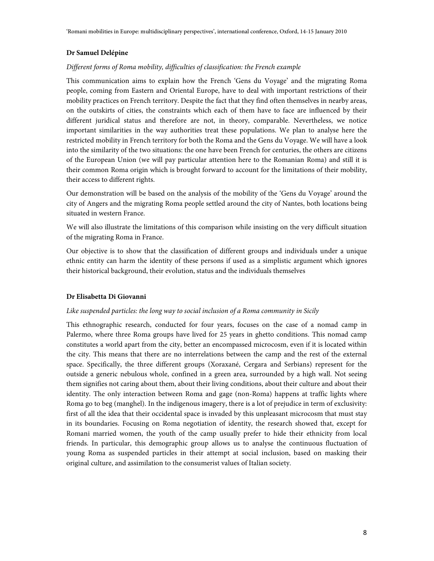### **Dr Samuel Delépine**

# Different forms of Roma mobility, difficulties of classification: the French example

This communication aims to explain how the French 'Gens du Voyage' and the migrating Roma people, coming from Eastern and Oriental Europe, have to deal with important restrictions of their mobility practices on French territory. Despite the fact that they find often themselves in nearby areas, on the outskirts of cities, the constraints which each of them have to face are influenced by their different juridical status and therefore are not, in theory, comparable. Nevertheless, we notice important similarities in the way authorities treat these populations. We plan to analyse here the restricted mobility in French territory for both the Roma and the Gens du Voyage. We will have a look into the similarity of the two situations: the one have been French for centuries, the others are citizens of the European Union (we will pay particular attention here to the Romanian Roma) and still it is their common Roma origin which is brought forward to account for the limitations of their mobility, their access to different rights.

Our demonstration will be based on the analysis of the mobility of the 'Gens du Voyage' around the city of Angers and the migrating Roma people settled around the city of Nantes, both locations being situated in western France.

We will also illustrate the limitations of this comparison while insisting on the very difficult situation of the migrating Roma in France.

Our objective is to show that the classification of different groups and individuals under a unique ethnic entity can harm the identity of these persons if used as a simplistic argument which ignores their historical background, their evolution, status and the individuals themselves

#### **Dr Elisabetta Di Giovanni**

### Like suspended particles: the long way to social inclusion of a Roma community in Sicily

This ethnographic research, conducted for four years, focuses on the case of a nomad camp in Palermo, where three Roma groups have lived for 25 years in ghetto conditions. This nomad camp constitutes a world apart from the city, better an encompassed microcosm, even if it is located within the city. This means that there are no interrelations between the camp and the rest of the external space. Specifically, the three different groups (Xoraxané, Cergara and Serbians) represent for the outside a generic nebulous whole, confined in a green area, surrounded by a high wall. Not seeing them signifies not caring about them, about their living conditions, about their culture and about their identity. The only interaction between Roma and gage (non-Roma) happens at traffic lights where Roma go to beg (manghel). In the indigenous imagery, there is a lot of prejudice in term of exclusivity: first of all the idea that their occidental space is invaded by this unpleasant microcosm that must stay in its boundaries. Focusing on Roma negotiation of identity, the research showed that, except for Romani married women, the youth of the camp usually prefer to hide their ethnicity from local friends. In particular, this demographic group allows us to analyse the continuous fluctuation of young Roma as suspended particles in their attempt at social inclusion, based on masking their original culture, and assimilation to the consumerist values of Italian society.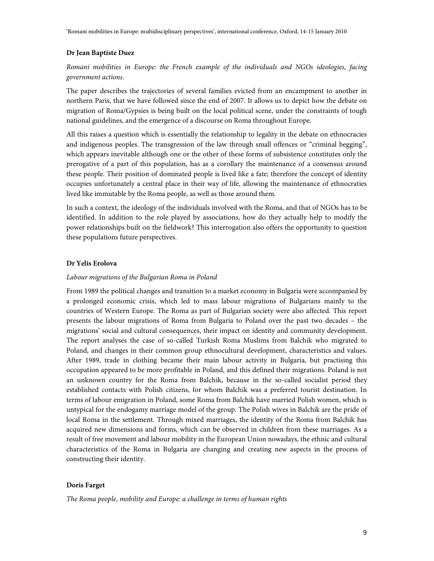### **Dr Jean Baptiste Duez**

Romani mobilities in Europe: the French example of the individuals and NGOs ideologies, facing government actions.

The paper describes the trajectories of several families evicted from an encampment to another in northern Paris, that we have followed since the end of 2007. It allows us to depict how the debate on migration of Roma/Gypsies is being built on the local political scene, under the constraints of tough national guidelines, and the emergence of a discourse on Roma throughout Europe.

All this raises a question which is essentially the relationship to legality in the debate on ethnocracies and indigenous peoples. The transgression of the law through small offences or "criminal begging", which appears inevitable although one or the other of these forms of subsistence constitutes only the prerogative of a part of this population, has as a corollary the maintenance of a consensus around these people. Their position of dominated people is lived like a fate; therefore the concept of identity occupies unfortunately a central place in their way of life, allowing the maintenance of ethnocraties lived like immutable by the Roma people, as well as those around them.

In such a context, the ideology of the individuals involved with the Roma, and that of NGOs has to be identified. In addition to the role played by associations, how do they actually help to modify the power relationships built on the fieldwork? This interrogation also offers the opportunity to question these populations future perspectives.

### **Dr Yelis Erolova**

#### Labour migrations of the Bulgarian Roma in Poland

From 1989 the political changes and transition to a market economy in Bulgaria were accompanied by a prolonged economic crisis, which led to mass labour migrations of Bulgarians mainly to the countries of Western Europe. The Roma as part of Bulgarian society were also affected. This report presents the labour migrations of Roma from Bulgaria to Poland over the past two decades – the migrations' social and cultural consequences, their impact on identity and community development. The report analyses the case of so-called Turkish Roma Muslims from Balchik who migrated to Poland, and changes in their common group ethnocultural development, characteristics and values. After 1989, trade in clothing became their main labour activity in Bulgaria, but practising this occupation appeared to be more profitable in Poland, and this defined their migrations. Poland is not an unknown country for the Roma from Balchik, because in the so-called socialist period they established contacts with Polish citizens, for whom Balchik was a preferred tourist destination. In terms of labour emigration in Poland, some Roma from Balchik have married Polish women, which is untypical for the endogamy marriage model of the group. The Polish wives in Balchik are the pride of local Roma in the settlement. Through mixed marriages, the identity of the Roma from Balchik has acquired new dimensions and forms, which can be observed in children from these marriages. As a result of free movement and labour mobility in the European Union nowadays, the ethnic and cultural characteristics of the Roma in Bulgaria are changing and creating new aspects in the process of constructing their identity.

#### **Doris Farget**

The Roma people, mobility and Europe: a challenge in terms of human rights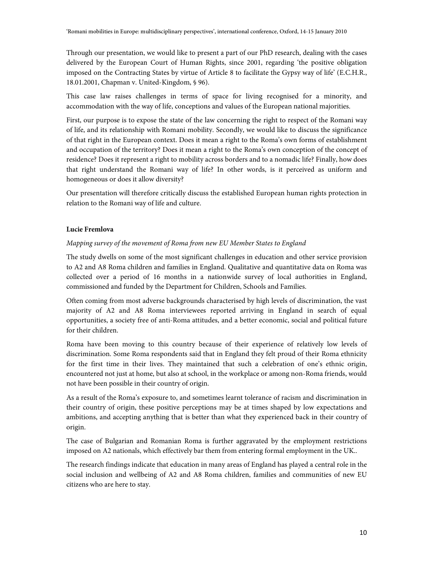Through our presentation, we would like to present a part of our PhD research, dealing with the cases delivered by the European Court of Human Rights, since 2001, regarding 'the positive obligation imposed on the Contracting States by virtue of Article 8 to facilitate the Gypsy way of life' (E.C.H.R., 18.01.2001, Chapman v. United-Kingdom, § 96).

This case law raises challenges in terms of space for living recognised for a minority, and accommodation with the way of life, conceptions and values of the European national majorities.

First, our purpose is to expose the state of the law concerning the right to respect of the Romani way of life, and its relationship with Romani mobility. Secondly, we would like to discuss the significance of that right in the European context. Does it mean a right to the Roma's own forms of establishment and occupation of the territory? Does it mean a right to the Roma's own conception of the concept of residence? Does it represent a right to mobility across borders and to a nomadic life? Finally, how does that right understand the Romani way of life? In other words, is it perceived as uniform and homogeneous or does it allow diversity?

Our presentation will therefore critically discuss the established European human rights protection in relation to the Romani way of life and culture.

### **Lucie Fremlova**

### Mapping survey of the movement of Roma from new EU Member States to England

The study dwells on some of the most significant challenges in education and other service provision to A2 and A8 Roma children and families in England. Qualitative and quantitative data on Roma was collected over a period of 16 months in a nationwide survey of local authorities in England, commissioned and funded by the Department for Children, Schools and Families.

Often coming from most adverse backgrounds characterised by high levels of discrimination, the vast majority of A2 and A8 Roma interviewees reported arriving in England in search of equal opportunities, a society free of anti-Roma attitudes, and a better economic, social and political future for their children.

Roma have been moving to this country because of their experience of relatively low levels of discrimination. Some Roma respondents said that in England they felt proud of their Roma ethnicity for the first time in their lives. They maintained that such a celebration of one's ethnic origin, encountered not just at home, but also at school, in the workplace or among non-Roma friends, would not have been possible in their country of origin.

As a result of the Roma's exposure to, and sometimes learnt tolerance of racism and discrimination in their country of origin, these positive perceptions may be at times shaped by low expectations and ambitions, and accepting anything that is better than what they experienced back in their country of origin.

The case of Bulgarian and Romanian Roma is further aggravated by the employment restrictions imposed on A2 nationals, which effectively bar them from entering formal employment in the UK..

The research findings indicate that education in many areas of England has played a central role in the social inclusion and wellbeing of A2 and A8 Roma children, families and communities of new EU citizens who are here to stay.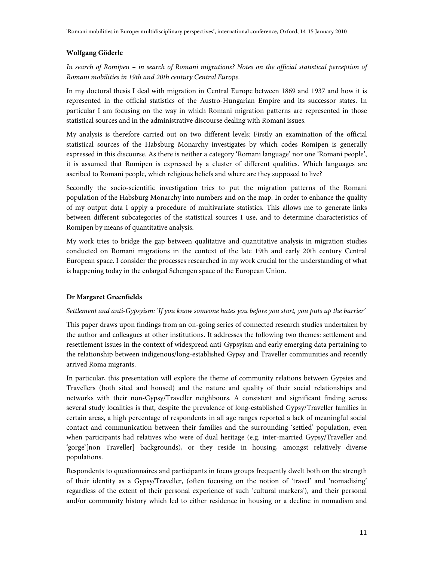# **Wolfgang Göderle**

In search of Romipen – in search of Romani migrations? Notes on the official statistical perception of Romani mobilities in 19th and 20th century Central Europe.

In my doctoral thesis I deal with migration in Central Europe between 1869 and 1937 and how it is represented in the official statistics of the Austro-Hungarian Empire and its successor states. In particular I am focusing on the way in which Romani migration patterns are represented in those statistical sources and in the administrative discourse dealing with Romani issues.

My analysis is therefore carried out on two different levels: Firstly an examination of the official statistical sources of the Habsburg Monarchy investigates by which codes Romipen is generally expressed in this discourse. As there is neither a category 'Romani language' nor one 'Romani people', it is assumed that Romipen is expressed by a cluster of different qualities. Which languages are ascribed to Romani people, which religious beliefs and where are they supposed to live?

Secondly the socio-scientific investigation tries to put the migration patterns of the Romani population of the Habsburg Monarchy into numbers and on the map. In order to enhance the quality of my output data I apply a procedure of multivariate statistics. This allows me to generate links between different subcategories of the statistical sources I use, and to determine characteristics of Romipen by means of quantitative analysis.

My work tries to bridge the gap between qualitative and quantitative analysis in migration studies conducted on Romani migrations in the context of the late 19th and early 20th century Central European space. I consider the processes researched in my work crucial for the understanding of what is happening today in the enlarged Schengen space of the European Union.

# **Dr Margaret Greenfields**

# Settlement and anti-Gypsyism: 'If you know someone hates you before you start, you puts up the barrier'

This paper draws upon findings from an on-going series of connected research studies undertaken by the author and colleagues at other institutions. It addresses the following two themes: settlement and resettlement issues in the context of widespread anti-Gypsyism and early emerging data pertaining to the relationship between indigenous/long-established Gypsy and Traveller communities and recently arrived Roma migrants.

In particular, this presentation will explore the theme of community relations between Gypsies and Travellers (both sited and housed) and the nature and quality of their social relationships and networks with their non-Gypsy/Traveller neighbours. A consistent and significant finding across several study localities is that, despite the prevalence of long-established Gypsy/Traveller families in certain areas, a high percentage of respondents in all age ranges reported a lack of meaningful social contact and communication between their families and the surrounding 'settled' population, even when participants had relatives who were of dual heritage (e.g. inter-married Gypsy/Traveller and 'gorge'[non Traveller] backgrounds), or they reside in housing, amongst relatively diverse populations.

Respondents to questionnaires and participants in focus groups frequently dwelt both on the strength of their identity as a Gypsy/Traveller, (often focusing on the notion of 'travel' and 'nomadising' regardless of the extent of their personal experience of such 'cultural markers'), and their personal and/or community history which led to either residence in housing or a decline in nomadism and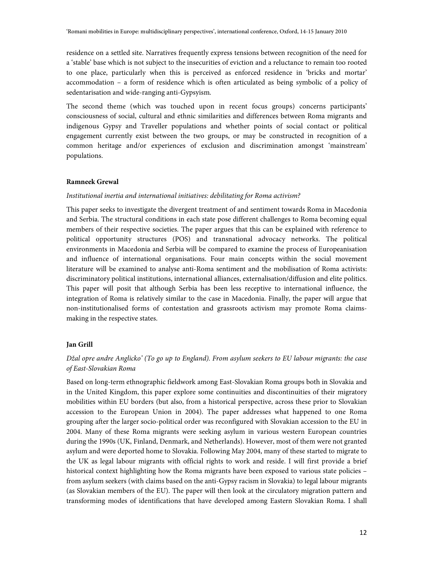residence on a settled site. Narratives frequently express tensions between recognition of the need for a 'stable' base which is not subject to the insecurities of eviction and a reluctance to remain too rooted to one place, particularly when this is perceived as enforced residence in 'bricks and mortar' accommodation – a form of residence which is often articulated as being symbolic of a policy of sedentarisation and wide-ranging anti-Gypsyism.

The second theme (which was touched upon in recent focus groups) concerns participants' consciousness of social, cultural and ethnic similarities and differences between Roma migrants and indigenous Gypsy and Traveller populations and whether points of social contact or political engagement currently exist between the two groups, or may be constructed in recognition of a common heritage and/or experiences of exclusion and discrimination amongst 'mainstream' populations.

### **Ramneek Grewal**

### Institutional inertia and international initiatives: debilitating for Roma activism?

This paper seeks to investigate the divergent treatment of and sentiment towards Roma in Macedonia and Serbia. The structural conditions in each state pose different challenges to Roma becoming equal members of their respective societies. The paper argues that this can be explained with reference to political opportunity structures (POS) and transnational advocacy networks. The political environments in Macedonia and Serbia will be compared to examine the process of Europeanisation and influence of international organisations. Four main concepts within the social movement literature will be examined to analyse anti-Roma sentiment and the mobilisation of Roma activists: discriminatory political institutions, international alliances, externalisation/diffusion and elite politics. This paper will posit that although Serbia has been less receptive to international influence, the integration of Roma is relatively similar to the case in Macedonia. Finally, the paper will argue that non-institutionalised forms of contestation and grassroots activism may promote Roma claimsmaking in the respective states.

#### **Jan Grill**

# Džal opre andre Anglicko' (To go up to England). From asylum seekers to EU labour migrants: the case of East-Slovakian Roma

Based on long-term ethnographic fieldwork among East-Slovakian Roma groups both in Slovakia and in the United Kingdom, this paper explore some continuities and discontinuities of their migratory mobilities within EU borders (but also, from a historical perspective, across these prior to Slovakian accession to the European Union in 2004). The paper addresses what happened to one Roma grouping after the larger socio-political order was reconfigured with Slovakian accession to the EU in 2004. Many of these Roma migrants were seeking asylum in various western European countries during the 1990s (UK, Finland, Denmark, and Netherlands). However, most of them were not granted asylum and were deported home to Slovakia. Following May 2004, many of these started to migrate to the UK as legal labour migrants with official rights to work and reside. I will first provide a brief historical context highlighting how the Roma migrants have been exposed to various state policies – from asylum seekers (with claims based on the anti-Gypsy racism in Slovakia) to legal labour migrants (as Slovakian members of the EU). The paper will then look at the circulatory migration pattern and transforming modes of identifications that have developed among Eastern Slovakian Roma. I shall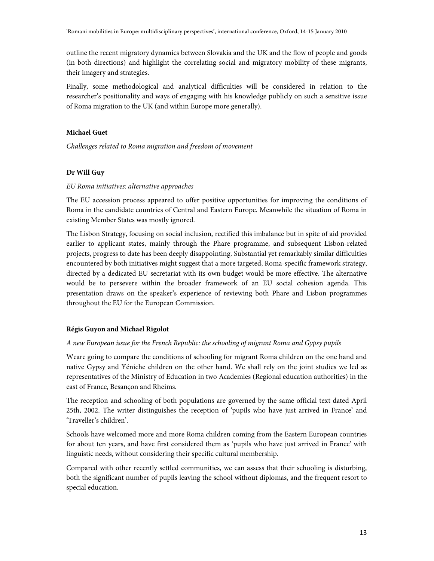outline the recent migratory dynamics between Slovakia and the UK and the flow of people and goods (in both directions) and highlight the correlating social and migratory mobility of these migrants, their imagery and strategies.

Finally, some methodological and analytical difficulties will be considered in relation to the researcher's positionality and ways of engaging with his knowledge publicly on such a sensitive issue of Roma migration to the UK (and within Europe more generally).

### **Michael Guet**

Challenges related to Roma migration and freedom of movement

### **Dr Will Guy**

### EU Roma initiatives: alternative approaches

The EU accession process appeared to offer positive opportunities for improving the conditions of Roma in the candidate countries of Central and Eastern Europe. Meanwhile the situation of Roma in existing Member States was mostly ignored.

The Lisbon Strategy, focusing on social inclusion, rectified this imbalance but in spite of aid provided earlier to applicant states, mainly through the Phare programme, and subsequent Lisbon-related projects, progress to date has been deeply disappointing. Substantial yet remarkably similar difficulties encountered by both initiatives might suggest that a more targeted, Roma-specific framework strategy, directed by a dedicated EU secretariat with its own budget would be more effective. The alternative would be to persevere within the broader framework of an EU social cohesion agenda. This presentation draws on the speaker's experience of reviewing both Phare and Lisbon programmes throughout the EU for the European Commission.

### **Régis Guyon and Michael Rigolot**

### A new European issue for the French Republic: the schooling of migrant Roma and Gypsy pupils

Weare going to compare the conditions of schooling for migrant Roma children on the one hand and native Gypsy and Yéniche children on the other hand. We shall rely on the joint studies we led as representatives of the Ministry of Education in two Academies (Regional education authorities) in the east of France, Besançon and Rheims.

The reception and schooling of both populations are governed by the same official text dated April 25th, 2002. The writer distinguishes the reception of 'pupils who have just arrived in France' and 'Traveller's children'.

Schools have welcomed more and more Roma children coming from the Eastern European countries for about ten years, and have first considered them as 'pupils who have just arrived in France' with linguistic needs, without considering their specific cultural membership.

Compared with other recently settled communities, we can assess that their schooling is disturbing, both the significant number of pupils leaving the school without diplomas, and the frequent resort to special education.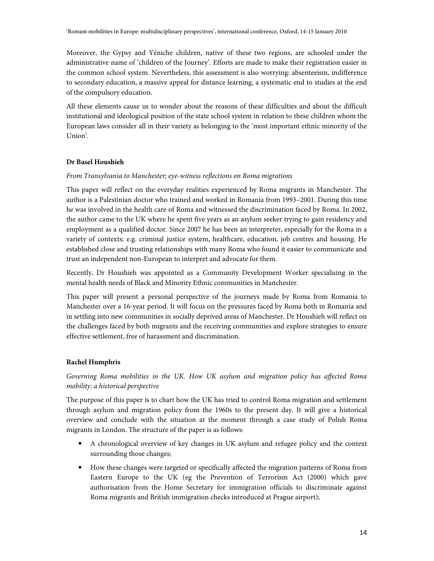Moreover, the Gypsy and Yéniche children, native of these two regions, are schooled under the administrative name of 'children of the Journey'. Efforts are made to make their registration easier in the common school system. Nevertheless, this assessment is also worrying: absenteeism, indifference to secondary education, a massive appeal for distance learning, a systematic end to studies at the end of the compulsory education.

All these elements cause us to wonder about the reasons of these difficulties and about the difficult institutional and ideological position of the state school system in relation to these children whom the European laws consider all in their variety as belonging to the 'most important ethnic minority of the Union'.

# **Dr Basel Houshieh**

### From Transylvania to Manchester; eye-witness reflections on Roma migrations

This paper will reflect on the everyday realities experienced by Roma migrants in Manchester. The author is a Palestinian doctor who trained and worked in Romania from 1993–2001. During this time he was involved in the health care of Roma and witnessed the discrimination faced by Roma. In 2002, the author came to the UK where he spent five years as an asylum seeker trying to gain residency and employment as a qualified doctor. Since 2007 he has been an interpreter, especially for the Roma in a variety of contexts; e.g. criminal justice system, healthcare, education, job centres and housing. He established close and trusting relationships with many Roma who found it easier to communicate and trust an independent non-European to interpret and advocate for them.

Recently, Dr Houshieh was appointed as a Community Development Worker specialising in the mental health needs of Black and Minority Ethnic communities in Manchester.

This paper will present a personal perspective of the journeys made by Roma from Romania to Manchester over a 16-year period. It will focus on the pressures faced by Roma both in Romania and in settling into new communities in socially deprived areas of Manchester. Dr Houshieh will reflect on the challenges faced by both migrants and the receiving communities and explore strategies to ensure effective settlement, free of harassment and discrimination.

# **Rachel Humphris**

# Governing Roma mobilities in the UK. How UK asylum and migration policy has affected Roma mobility: a historical perspective

The purpose of this paper is to chart how the UK has tried to control Roma migration and settlement through asylum and migration policy from the 1960s to the present day. It will give a historical overview and conclude with the situation at the moment through a case study of Polish Roma migrants in London. The structure of the paper is as follows:

- A chronological overview of key changes in UK asylum and refugee policy and the context surrounding those changes;
- How these changes were targeted or specifically affected the migration patterns of Roma from Eastern Europe to the UK (eg the Prevention of Terrorism Act (2000) which gave authorisation from the Home Secretary for immigration officials to discriminate against Roma migrants and British immigration checks introduced at Prague airport);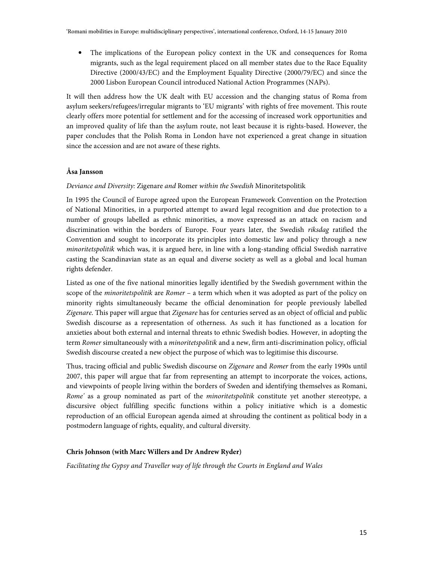• The implications of the European policy context in the UK and consequences for Roma migrants, such as the legal requirement placed on all member states due to the Race Equality Directive (2000/43/EC) and the Employment Equality Directive (2000/79/EC) and since the 2000 Lisbon European Council introduced National Action Programmes (NAPs).

It will then address how the UK dealt with EU accession and the changing status of Roma from asylum seekers/refugees/irregular migrants to 'EU migrants' with rights of free movement. This route clearly offers more potential for settlement and for the accessing of increased work opportunities and an improved quality of life than the asylum route, not least because it is rights-based. However, the paper concludes that the Polish Roma in London have not experienced a great change in situation since the accession and are not aware of these rights.

# **Åsa Jansson**

# Deviance and Diversity: Zigenare and Romer within the Swedish Minoritetspolitik

In 1995 the Council of Europe agreed upon the European Framework Convention on the Protection of National Minorities, in a purported attempt to award legal recognition and due protection to a number of groups labelled as ethnic minorities, a move expressed as an attack on racism and discrimination within the borders of Europe. Four years later, the Swedish riksdag ratified the Convention and sought to incorporate its principles into domestic law and policy through a new minoritetspolitik which was, it is argued here, in line with a long-standing official Swedish narrative casting the Scandinavian state as an equal and diverse society as well as a global and local human rights defender.

Listed as one of the five national minorities legally identified by the Swedish government within the scope of the *minoritetspolitik* are *Romer* – a term which when it was adopted as part of the policy on minority rights simultaneously became the official denomination for people previously labelled Zigenare. This paper will argue that Zigenare has for centuries served as an object of official and public Swedish discourse as a representation of otherness. As such it has functioned as a location for anxieties about both external and internal threats to ethnic Swedish bodies. However, in adopting the term Romer simultaneously with a minoritetspolitik and a new, firm anti-discrimination policy, official Swedish discourse created a new object the purpose of which was to legitimise this discourse.

Thus, tracing official and public Swedish discourse on Zigenare and Romer from the early 1990s until 2007, this paper will argue that far from representing an attempt to incorporate the voices, actions, and viewpoints of people living within the borders of Sweden and identifying themselves as Romani, Rome' as a group nominated as part of the *minoritetspolitik* constitute yet another stereotype, a discursive object fulfilling specific functions within a policy initiative which is a domestic reproduction of an official European agenda aimed at shrouding the continent as political body in a postmodern language of rights, equality, and cultural diversity.

# **Chris Johnson (with Marc Willers and Dr Andrew Ryder)**

Facilitating the Gypsy and Traveller way of life through the Courts in England and Wales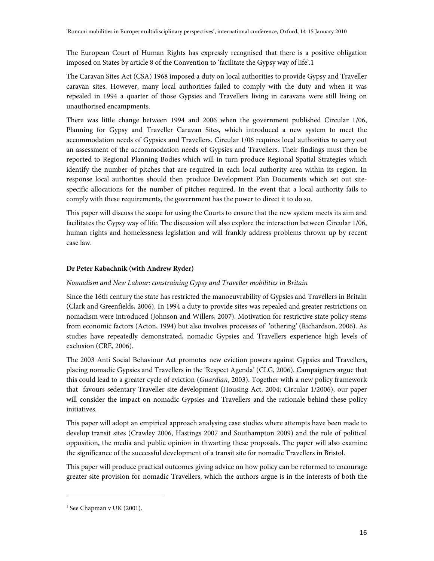The European Court of Human Rights has expressly recognised that there is a positive obligation imposed on States by article 8 of the Convention to 'facilitate the Gypsy way of life'.1

The Caravan Sites Act (CSA) 1968 imposed a duty on local authorities to provide Gypsy and Traveller caravan sites. However, many local authorities failed to comply with the duty and when it was repealed in 1994 a quarter of those Gypsies and Travellers living in caravans were still living on unauthorised encampments.

There was little change between 1994 and 2006 when the government published Circular 1/06, Planning for Gypsy and Traveller Caravan Sites, which introduced a new system to meet the accommodation needs of Gypsies and Travellers. Circular 1/06 requires local authorities to carry out an assessment of the accommodation needs of Gypsies and Travellers. Their findings must then be reported to Regional Planning Bodies which will in turn produce Regional Spatial Strategies which identify the number of pitches that are required in each local authority area within its region. In response local authorities should then produce Development Plan Documents which set out sitespecific allocations for the number of pitches required. In the event that a local authority fails to comply with these requirements, the government has the power to direct it to do so.

This paper will discuss the scope for using the Courts to ensure that the new system meets its aim and facilitates the Gypsy way of life. The discussion will also explore the interaction between Circular 1/06, human rights and homelessness legislation and will frankly address problems thrown up by recent case law.

# **Dr Peter Kabachnik (with Andrew Ryder)**

# Nomadism and New Labour: constraining Gypsy and Traveller mobilities in Britain

Since the 16th century the state has restricted the manoeuvrability of Gypsies and Travellers in Britain (Clark and Greenfields, 2006). In 1994 a duty to provide sites was repealed and greater restrictions on nomadism were introduced (Johnson and Willers, 2007). Motivation for restrictive state policy stems from economic factors (Acton, 1994) but also involves processes of 'othering' (Richardson, 2006). As studies have repeatedly demonstrated, nomadic Gypsies and Travellers experience high levels of exclusion (CRE, 2006).

The 2003 Anti Social Behaviour Act promotes new eviction powers against Gypsies and Travellers, placing nomadic Gypsies and Travellers in the 'Respect Agenda' (CLG, 2006). Campaigners argue that this could lead to a greater cycle of eviction (Guardian, 2003). Together with a new policy framework that favours sedentary Traveller site development (Housing Act, 2004; Circular 1/2006), our paper will consider the impact on nomadic Gypsies and Travellers and the rationale behind these policy initiatives.

This paper will adopt an empirical approach analysing case studies where attempts have been made to develop transit sites (Crawley 2006, Hastings 2007 and Southampton 2009) and the role of political opposition, the media and public opinion in thwarting these proposals. The paper will also examine the significance of the successful development of a transit site for nomadic Travellers in Bristol.

This paper will produce practical outcomes giving advice on how policy can be reformed to encourage greater site provision for nomadic Travellers, which the authors argue is in the interests of both the

.

<sup>1</sup> See Chapman v UK (2001).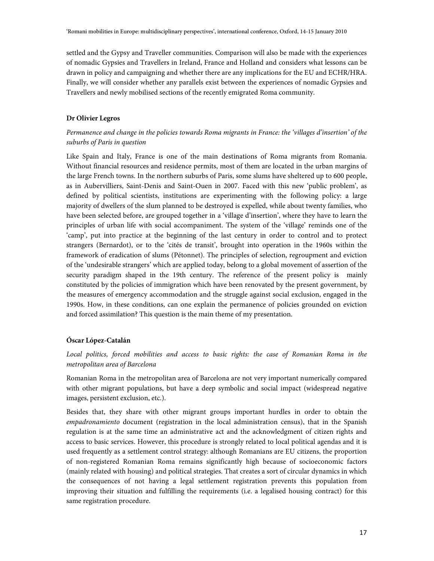settled and the Gypsy and Traveller communities. Comparison will also be made with the experiences of nomadic Gypsies and Travellers in Ireland, France and Holland and considers what lessons can be drawn in policy and campaigning and whether there are any implications for the EU and ECHR/HRA. Finally, we will consider whether any parallels exist between the experiences of nomadic Gypsies and Travellers and newly mobilised sections of the recently emigrated Roma community.

# **Dr Olivier Legros**

# Permanence and change in the policies towards Roma migrants in France: the 'villages d'insertion' of the suburbs of Paris in question

Like Spain and Italy, France is one of the main destinations of Roma migrants from Romania. Without financial resources and residence permits, most of them are located in the urban margins of the large French towns. In the northern suburbs of Paris, some slums have sheltered up to 600 people, as in Aubervilliers, Saint-Denis and Saint-Ouen in 2007. Faced with this new 'public problem', as defined by political scientists, institutions are experimenting with the following policy: a large majority of dwellers of the slum planned to be destroyed is expelled, while about twenty families, who have been selected before, are grouped together in a 'village d'insertion', where they have to learn the principles of urban life with social accompaniment. The system of the 'village' reminds one of the 'camp', put into practice at the beginning of the last century in order to control and to protect strangers (Bernardot), or to the 'cités de transit', brought into operation in the 1960s within the framework of eradication of slums (Pétonnet). The principles of selection, regroupment and eviction of the 'undesirable strangers' which are applied today, belong to a global movement of assertion of the security paradigm shaped in the 19th century. The reference of the present policy is mainly constituted by the policies of immigration which have been renovated by the present government, by the measures of emergency accommodation and the struggle against social exclusion, engaged in the 1990s. How, in these conditions, can one explain the permanence of policies grounded on eviction and forced assimilation? This question is the main theme of my presentation.

# **Óscar López-Catalán**

# Local politics, forced mobilities and access to basic rights: the case of Romanian Roma in the metropolitan area of Barcelona

Romanian Roma in the metropolitan area of Barcelona are not very important numerically compared with other migrant populations, but have a deep symbolic and social impact (widespread negative images, persistent exclusion, etc.).

Besides that, they share with other migrant groups important hurdles in order to obtain the empadronamiento document (registration in the local administration census), that in the Spanish regulation is at the same time an administrative act and the acknowledgment of citizen rights and access to basic services. However, this procedure is strongly related to local political agendas and it is used frequently as a settlement control strategy: although Romanians are EU citizens, the proportion of non-registered Romanian Roma remains significantly high because of socioeconomic factors (mainly related with housing) and political strategies. That creates a sort of circular dynamics in which the consequences of not having a legal settlement registration prevents this population from improving their situation and fulfilling the requirements (i.e. a legalised housing contract) for this same registration procedure.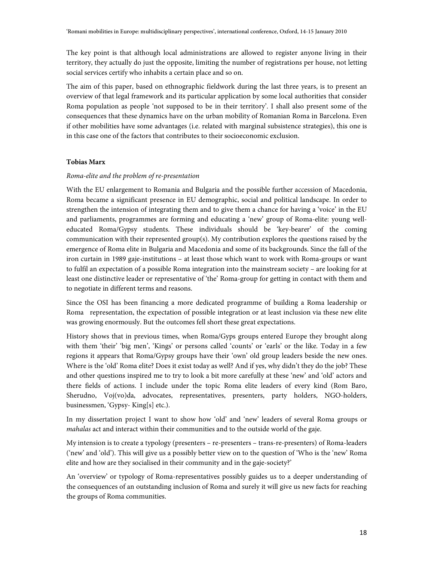The key point is that although local administrations are allowed to register anyone living in their territory, they actually do just the opposite, limiting the number of registrations per house, not letting social services certify who inhabits a certain place and so on.

The aim of this paper, based on ethnographic fieldwork during the last three years, is to present an overview of that legal framework and its particular application by some local authorities that consider Roma population as people 'not supposed to be in their territory'. I shall also present some of the consequences that these dynamics have on the urban mobility of Romanian Roma in Barcelona. Even if other mobilities have some advantages (i.e. related with marginal subsistence strategies), this one is in this case one of the factors that contributes to their socioeconomic exclusion.

# **Tobias Marx**

# Roma-elite and the problem of re-presentation

With the EU enlargement to Romania and Bulgaria and the possible further accession of Macedonia, Roma became a significant presence in EU demographic, social and political landscape. In order to strengthen the intension of integrating them and to give them a chance for having a 'voice' in the EU and parliaments, programmes are forming and educating a 'new' group of Roma-elite: young welleducated Roma/Gypsy students. These individuals should be 'key-bearer' of the coming communication with their represented group(s). My contribution explores the questions raised by the emergence of Roma elite in Bulgaria and Macedonia and some of its backgrounds. Since the fall of the iron curtain in 1989 gaje-institutions – at least those which want to work with Roma-groups or want to fulfil an expectation of a possible Roma integration into the mainstream society – are looking for at least one distinctive leader or representative of 'the' Roma-group for getting in contact with them and to negotiate in different terms and reasons.

Since the OSI has been financing a more dedicated programme of building a Roma leadership or Roma representation, the expectation of possible integration or at least inclusion via these new elite was growing enormously. But the outcomes fell short these great expectations.

History shows that in previous times, when Roma/Gyps groups entered Europe they brought along with them 'their' 'big men', 'Kings' or persons called 'counts' or 'earls' or the like. Today in a few regions it appears that Roma/Gypsy groups have their 'own' old group leaders beside the new ones. Where is the 'old' Roma elite? Does it exist today as well? And if yes, why didn't they do the job? These and other questions inspired me to try to look a bit more carefully at these 'new' and 'old' actors and there fields of actions. I include under the topic Roma elite leaders of every kind (Rom Baro, Sherudno, Voj(vo)da, advocates, representatives, presenters, party holders, NGO-holders, businessmen, 'Gypsy- King[s] etc.).

In my dissertation project I want to show how 'old' and 'new' leaders of several Roma groups or mahalas act and interact within their communities and to the outside world of the gaje.

My intension is to create a typology (presenters – re-presenters – trans-re-presenters) of Roma-leaders ('new' and 'old'). This will give us a possibly better view on to the question of 'Who is the 'new' Roma elite and how are they socialised in their community and in the gaje-society?'

An 'overview' or typology of Roma-representatives possibly guides us to a deeper understanding of the consequences of an outstanding inclusion of Roma and surely it will give us new facts for reaching the groups of Roma communities.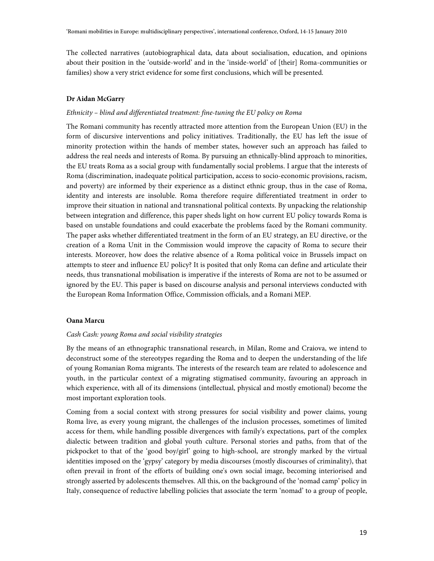The collected narratives (autobiographical data, data about socialisation, education, and opinions about their position in the 'outside-world' and in the 'inside-world' of [their] Roma-communities or families) show a very strict evidence for some first conclusions, which will be presented.

### **Dr Aidan McGarry**

### Ethnicity – blind and differentiated treatment: fine-tuning the EU policy on Roma

The Romani community has recently attracted more attention from the European Union (EU) in the form of discursive interventions and policy initiatives. Traditionally, the EU has left the issue of minority protection within the hands of member states, however such an approach has failed to address the real needs and interests of Roma. By pursuing an ethnically-blind approach to minorities, the EU treats Roma as a social group with fundamentally social problems. I argue that the interests of Roma (discrimination, inadequate political participation, access to socio-economic provisions, racism, and poverty) are informed by their experience as a distinct ethnic group, thus in the case of Roma, identity and interests are insoluble. Roma therefore require differentiated treatment in order to improve their situation in national and transnational political contexts. By unpacking the relationship between integration and difference, this paper sheds light on how current EU policy towards Roma is based on unstable foundations and could exacerbate the problems faced by the Romani community. The paper asks whether differentiated treatment in the form of an EU strategy, an EU directive, or the creation of a Roma Unit in the Commission would improve the capacity of Roma to secure their interests. Moreover, how does the relative absence of a Roma political voice in Brussels impact on attempts to steer and influence EU policy? It is posited that only Roma can define and articulate their needs, thus transnational mobilisation is imperative if the interests of Roma are not to be assumed or ignored by the EU. This paper is based on discourse analysis and personal interviews conducted with the European Roma Information Office, Commission officials, and a Romani MEP.

### **Oana Marcu**

### Cash Cash: young Roma and social visibility strategies

By the means of an ethnographic transnational research, in Milan, Rome and Craiova, we intend to deconstruct some of the stereotypes regarding the Roma and to deepen the understanding of the life of young Romanian Roma migrants. The interests of the research team are related to adolescence and youth, in the particular context of a migrating stigmatised community, favouring an approach in which experience, with all of its dimensions (intellectual, physical and mostly emotional) become the most important exploration tools.

Coming from a social context with strong pressures for social visibility and power claims, young Roma live, as every young migrant, the challenges of the inclusion processes, sometimes of limited access for them, while handling possible divergences with family's expectations, part of the complex dialectic between tradition and global youth culture. Personal stories and paths, from that of the pickpocket to that of the 'good boy/girl' going to high-school, are strongly marked by the virtual identities imposed on the 'gypsy' category by media discourses (mostly discourses of criminality), that often prevail in front of the efforts of building one's own social image, becoming interiorised and strongly asserted by adolescents themselves. All this, on the background of the 'nomad camp' policy in Italy, consequence of reductive labelling policies that associate the term 'nomad' to a group of people,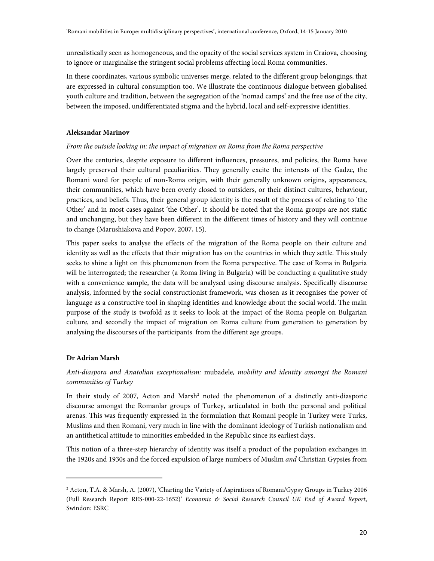unrealistically seen as homogeneous, and the opacity of the social services system in Craiova, choosing to ignore or marginalise the stringent social problems affecting local Roma communities.

In these coordinates, various symbolic universes merge, related to the different group belongings, that are expressed in cultural consumption too. We illustrate the continuous dialogue between globalised youth culture and tradition, between the segregation of the 'nomad camps' and the free use of the city, between the imposed, undifferentiated stigma and the hybrid, local and self-expressive identities.

### **Aleksandar Marinov**

### From the outside looking in: the impact of migration on Roma from the Roma perspective

Over the centuries, despite exposure to different influences, pressures, and policies, the Roma have largely preserved their cultural peculiarities. They generally excite the interests of the Gadze, the Romani word for people of non-Roma origin, with their generally unknown origins, appearances, their communities, which have been overly closed to outsiders, or their distinct cultures, behaviour, practices, and beliefs. Thus, their general group identity is the result of the process of relating to 'the Other' and in most cases against 'the Other'. It should be noted that the Roma groups are not static and unchanging, but they have been different in the different times of history and they will continue to change (Marushiakova and Popov, 2007, 15).

This paper seeks to analyse the effects of the migration of the Roma people on their culture and identity as well as the effects that their migration has on the countries in which they settle. This study seeks to shine a light on this phenomenon from the Roma perspective. The case of Roma in Bulgaria will be interrogated; the researcher (a Roma living in Bulgaria) will be conducting a qualitative study with a convenience sample, the data will be analysed using discourse analysis. Specifically discourse analysis, informed by the social constructionist framework, was chosen as it recognises the power of language as a constructive tool in shaping identities and knowledge about the social world. The main purpose of the study is twofold as it seeks to look at the impact of the Roma people on Bulgarian culture, and secondly the impact of migration on Roma culture from generation to generation by analysing the discourses of the participants from the different age groups.

# **Dr Adrian Marsh**

.

# Anti-diaspora and Anatolian exceptionalism: mubadele, mobility and identity amongst the Romani communities of Turkey

In their study of 2007, Acton and Marsh<sup>2</sup> noted the phenomenon of a distinctly anti-diasporic discourse amongst the Romanlar groups of Turkey, articulated in both the personal and political arenas. This was frequently expressed in the formulation that Romani people in Turkey were Turks, Muslims and then Romani, very much in line with the dominant ideology of Turkish nationalism and an antithetical attitude to minorities embedded in the Republic since its earliest days.

This notion of a three-step hierarchy of identity was itself a product of the population exchanges in the 1920s and 1930s and the forced expulsion of large numbers of Muslim and Christian Gypsies from

<sup>2</sup> Acton, T.A. & Marsh, A. (2007), 'Charting the Variety of Aspirations of Romani/Gypsy Groups in Turkey 2006 (Full Research Report RES-000-22-1652)' Economic & Social Research Council UK End of Award Report, Swindon: ESRC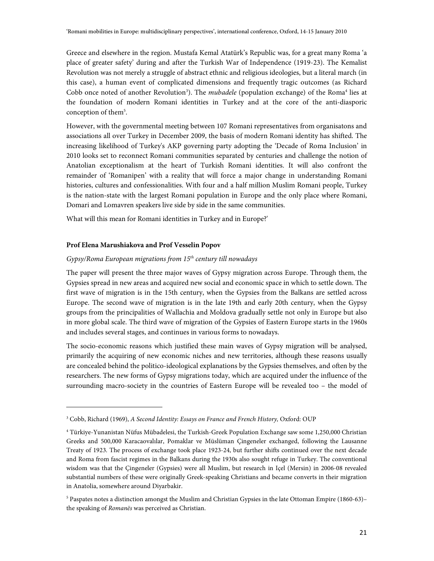Greece and elsewhere in the region. Mustafa Kemal Atatürk's Republic was, for a great many Roma 'a place of greater safety' during and after the Turkish War of Independence (1919-23). The Kemalist Revolution was not merely a struggle of abstract ethnic and religious ideologies, but a literal march (in this case), a human event of complicated dimensions and frequently tragic outcomes (as Richard Cobb once noted of another Revolution<sup>3</sup>). The *mubadele* (population exchange) of the Roma<sup>4</sup> lies at the foundation of modern Romani identities in Turkey and at the core of the anti-diasporic conception of them<sup>5</sup>.

However, with the governmental meeting between 107 Romani representatives from organisatons and associations all over Turkey in December 2009, the basis of modern Romani identity has shifted. The increasing likelihood of Turkey's AKP governing party adopting the 'Decade of Roma Inclusion' in 2010 looks set to reconnect Romani communities separated by centuries and challenge the notion of Anatolian exceptionalism at the heart of Turkish Romani identities. It will also confront the remainder of 'Romanipen' with a reality that will force a major change in understanding Romani histories, cultures and confessionalities. With four and a half million Muslim Romani people, Turkey is the nation-state with the largest Romani population in Europe and the only place where Romani, Domari and Lomavren speakers live side by side in the same communities.

What will this mean for Romani identities in Turkey and in Europe?'

# **Prof Elena Marushiakova and Prof Vesselin Popov**

.

# $Gy$ psy/Roma European migrations from  $15<sup>th</sup>$  century till nowadays

The paper will present the three major waves of Gypsy migration across Europe. Through them, the Gypsies spread in new areas and acquired new social and economic space in which to settle down. The first wave of migration is in the 15th century, when the Gypsies from the Balkans are settled across Europe. The second wave of migration is in the late 19th and early 20th century, when the Gypsy groups from the principalities of Wallachia and Moldova gradually settle not only in Europe but also in more global scale. The third wave of migration of the Gypsies of Eastern Europe starts in the 1960s and includes several stages, and continues in various forms to nowadays.

The socio-economic reasons which justified these main waves of Gypsy migration will be analysed, primarily the acquiring of new economic niches and new territories, although these reasons usually are concealed behind the politico-ideological explanations by the Gypsies themselves, and often by the researchers. The new forms of Gypsy migrations today, which are acquired under the influence of the surrounding macro-society in the countries of Eastern Europe will be revealed too – the model of

<sup>&</sup>lt;sup>3</sup> Cobb, Richard (1969), A Second Identity: Essays on France and French History, Oxford: OUP

<sup>4</sup> Türkiye-Yunanistan Nüfus Mübadelesi, the Turkish-Greek Population Exchange saw some 1,250,000 Christian Greeks and 500,000 Karacaovalılar, Pomaklar ve Müslüman Çingeneler exchanged, following the Lausanne Treaty of 1923. The process of exchange took place 1923-24, but further shifts continued over the next decade and Roma from fascist regimes in the Balkans during the 1930s also sought refuge in Turkey. The conventional wisdom was that the Çingeneler (Gypsies) were all Muslim, but research in Içel (Mersin) in 2006-08 revealed substantial numbers of these were originally Greek-speaking Christians and became converts in their migration in Anatolia, somewhere around Diyarbakir.

<sup>5</sup> Paspates notes a distinction amongst the Muslim and Christian Gypsies in the late Ottoman Empire (1860-63)– the speaking of Romanës was perceived as Christian.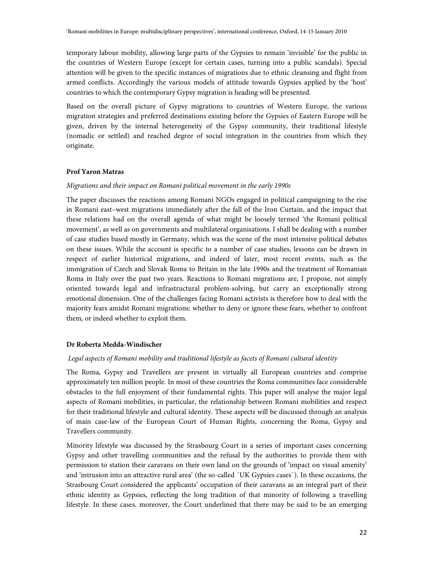temporary labour mobility, allowing large parts of the Gypsies to remain 'invisible' for the public in the countries of Western Europe (except for certain cases, turning into a public scandals). Special attention will be given to the specific instances of migrations due to ethnic cleansing and flight from armed conflicts. Accordingly the various models of attitude towards Gypsies applied by the 'host' countries to which the contemporary Gypsy migration is heading will be presented.

Based on the overall picture of Gypsy migrations to countries of Western Europe, the various migration strategies and preferred destinations existing before the Gypsies of Eastern Europe will be given, driven by the internal heterogeneity of the Gypsy community, their traditional lifestyle (nomadic or settled) and reached degree of social integration in the countries from which they originate.

# **Prof Yaron Matras**

### Migrations and their impact on Romani political movement in the early 1990s

The paper discusses the reactions among Romani NGOs engaged in political campaigning to the rise in Romani east–west migrations immediately after the fall of the Iron Curtain, and the impact that these relations had on the overall agenda of what might be loosely termed 'the Romani political movement', as well as on governments and multilateral organisations. I shall be dealing with a number of case studies based mostly in Germany, which was the scene of the most intensive political debates on these issues. While the account is specific to a number of case studies, lessons can be drawn in respect of earlier historical migrations, and indeed of later, most recent events, such as the immigration of Czech and Slovak Roma to Britain in the late 1990s and the treatment of Romanian Roma in Italy over the past two years. Reactions to Romani migrations are, I propose, not simply oriented towards legal and infrastructural problem-solving, but carry an exceptionally strong emotional dimension. One of the challenges facing Romani activists is therefore how to deal with the majority fears amidst Romani migrations: whether to deny or ignore these fears, whether to confront them, or indeed whether to exploit them.

# **Dr Roberta Medda-Windischer**

### Legal aspects of Romani mobility and traditional lifestyle as facets of Romani cultural identity

The Roma, Gypsy and Travellers are present in virtually all European countries and comprise approximately ten million people. In most of these countries the Roma communities face considerable obstacles to the full enjoyment of their fundamental rights. This paper will analyse the major legal aspects of Romani mobilities, in particular, the relationship between Romani mobilities and respect for their traditional lifestyle and cultural identity. These aspects will be discussed through an analysis of main case-law of the European Court of Human Rights, concerning the Roma, Gypsy and Travellers community.

Minority lifestyle was discussed by the Strasbourg Court in a series of important cases concerning Gypsy and other travelling communities and the refusal by the authorities to provide them with permission to station their caravans on their own land on the grounds of 'impact on visual amenity' and 'intrusion into an attractive rural area' (the so-called ´UK Gypsies cases`). In these occasions, the Strasbourg Court considered the applicants' occupation of their caravans as an integral part of their ethnic identity as Gypsies, reflecting the long tradition of that minority of following a travelling lifestyle. In these cases, moreover, the Court underlined that there may be said to be an emerging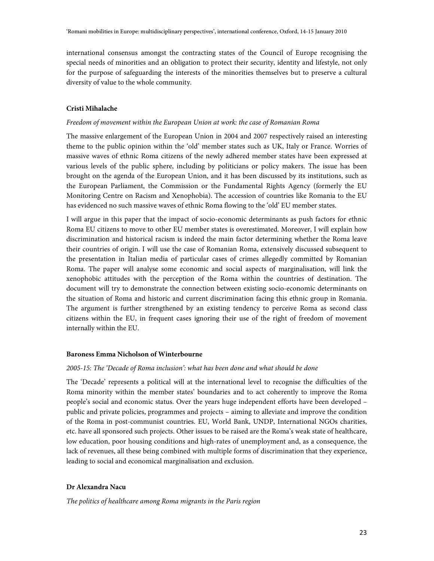international consensus amongst the contracting states of the Council of Europe recognising the special needs of minorities and an obligation to protect their security, identity and lifestyle, not only for the purpose of safeguarding the interests of the minorities themselves but to preserve a cultural diversity of value to the whole community.

### **Cristi Mihalache**

### Freedom of movement within the European Union at work: the case of Romanian Roma

The massive enlargement of the European Union in 2004 and 2007 respectively raised an interesting theme to the public opinion within the 'old' member states such as UK, Italy or France. Worries of massive waves of ethnic Roma citizens of the newly adhered member states have been expressed at various levels of the public sphere, including by politicians or policy makers. The issue has been brought on the agenda of the European Union, and it has been discussed by its institutions, such as the European Parliament, the Commission or the Fundamental Rights Agency (formerly the EU Monitoring Centre on Racism and Xenophobia). The accession of countries like Romania to the EU has evidenced no such massive waves of ethnic Roma flowing to the 'old' EU member states.

I will argue in this paper that the impact of socio-economic determinants as push factors for ethnic Roma EU citizens to move to other EU member states is overestimated. Moreover, I will explain how discrimination and historical racism is indeed the main factor determining whether the Roma leave their countries of origin. I will use the case of Romanian Roma, extensively discussed subsequent to the presentation in Italian media of particular cases of crimes allegedly committed by Romanian Roma. The paper will analyse some economic and social aspects of marginalisation, will link the xenophobic attitudes with the perception of the Roma within the countries of destination. The document will try to demonstrate the connection between existing socio-economic determinants on the situation of Roma and historic and current discrimination facing this ethnic group in Romania. The argument is further strengthened by an existing tendency to perceive Roma as second class citizens within the EU, in frequent cases ignoring their use of the right of freedom of movement internally within the EU.

# **Baroness Emma Nicholson of Winterbourne**

#### 2005-15: The 'Decade of Roma inclusion': what has been done and what should be done

The 'Decade' represents a political will at the international level to recognise the difficulties of the Roma minority within the member states' boundaries and to act coherently to improve the Roma people's social and economic status. Over the years huge independent efforts have been developed – public and private policies, programmes and projects – aiming to alleviate and improve the condition of the Roma in post-communist countries. EU, World Bank, UNDP, International NGOs charities, etc. have all sponsored such projects. Other issues to be raised are the Roma's weak state of healthcare, low education, poor housing conditions and high-rates of unemployment and, as a consequence, the lack of revenues, all these being combined with multiple forms of discrimination that they experience, leading to social and economical marginalisation and exclusion.

# **Dr Alexandra Nacu**

The politics of healthcare among Roma migrants in the Paris region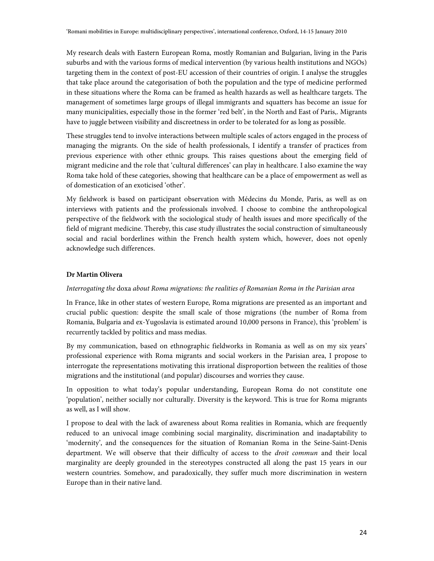My research deals with Eastern European Roma, mostly Romanian and Bulgarian, living in the Paris suburbs and with the various forms of medical intervention (by various health institutions and NGOs) targeting them in the context of post-EU accession of their countries of origin. I analyse the struggles that take place around the categorisation of both the population and the type of medicine performed in these situations where the Roma can be framed as health hazards as well as healthcare targets. The management of sometimes large groups of illegal immigrants and squatters has become an issue for many municipalities, especially those in the former 'red belt', in the North and East of Paris,. Migrants have to juggle between visibility and discreetness in order to be tolerated for as long as possible.

These struggles tend to involve interactions between multiple scales of actors engaged in the process of managing the migrants. On the side of health professionals, I identify a transfer of practices from previous experience with other ethnic groups. This raises questions about the emerging field of migrant medicine and the role that 'cultural differences' can play in healthcare. I also examine the way Roma take hold of these categories, showing that healthcare can be a place of empowerment as well as of domestication of an exoticised 'other'.

My fieldwork is based on participant observation with Médecins du Monde, Paris, as well as on interviews with patients and the professionals involved. I choose to combine the anthropological perspective of the fieldwork with the sociological study of health issues and more specifically of the field of migrant medicine. Thereby, this case study illustrates the social construction of simultaneously social and racial borderlines within the French health system which, however, does not openly acknowledge such differences.

# **Dr Martin Olivera**

# Interrogating the doxa about Roma migrations: the realities of Romanian Roma in the Parisian area

In France, like in other states of western Europe, Roma migrations are presented as an important and crucial public question: despite the small scale of those migrations (the number of Roma from Romania, Bulgaria and ex-Yugoslavia is estimated around 10,000 persons in France), this 'problem' is recurrently tackled by politics and mass medias.

By my communication, based on ethnographic fieldworks in Romania as well as on my six years' professional experience with Roma migrants and social workers in the Parisian area, I propose to interrogate the representations motivating this irrational disproportion between the realities of those migrations and the institutional (and popular) discourses and worries they cause.

In opposition to what today's popular understanding, European Roma do not constitute one 'population', neither socially nor culturally. Diversity is the keyword. This is true for Roma migrants as well, as I will show.

I propose to deal with the lack of awareness about Roma realities in Romania, which are frequently reduced to an univocal image combining social marginality, discrimination and inadaptability to 'modernity', and the consequences for the situation of Romanian Roma in the Seine-Saint-Denis department. We will observe that their difficulty of access to the *droit commun* and their local marginality are deeply grounded in the stereotypes constructed all along the past 15 years in our western countries. Somehow, and paradoxically, they suffer much more discrimination in western Europe than in their native land.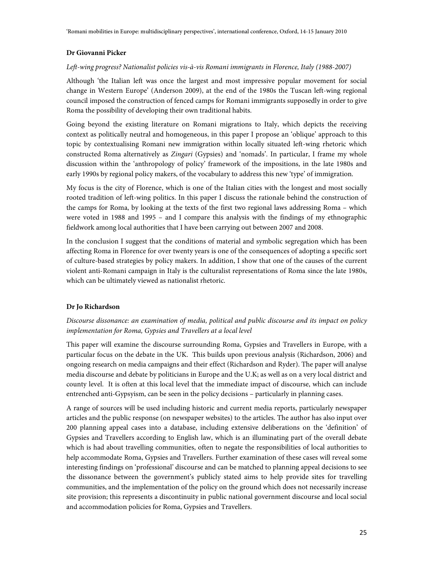# **Dr Giovanni Picker**

# Left-wing progress? Nationalist policies vis-à-vis Romani immigrants in Florence, Italy (1988-2007)

Although 'the Italian left was once the largest and most impressive popular movement for social change in Western Europe' (Anderson 2009), at the end of the 1980s the Tuscan left-wing regional council imposed the construction of fenced camps for Romani immigrants supposedly in order to give Roma the possibility of developing their own traditional habits.

Going beyond the existing literature on Romani migrations to Italy, which depicts the receiving context as politically neutral and homogeneous, in this paper I propose an 'oblique' approach to this topic by contextualising Romani new immigration within locally situated left-wing rhetoric which constructed Roma alternatively as Zingari (Gypsies) and 'nomads'. In particular, I frame my whole discussion within the 'anthropology of policy' framework of the impositions, in the late 1980s and early 1990s by regional policy makers, of the vocabulary to address this new 'type' of immigration.

My focus is the city of Florence, which is one of the Italian cities with the longest and most socially rooted tradition of left-wing politics. In this paper I discuss the rationale behind the construction of the camps for Roma, by looking at the texts of the first two regional laws addressing Roma – which were voted in 1988 and 1995 – and I compare this analysis with the findings of my ethnographic fieldwork among local authorities that I have been carrying out between 2007 and 2008.

In the conclusion I suggest that the conditions of material and symbolic segregation which has been affecting Roma in Florence for over twenty years is one of the consequences of adopting a specific sort of culture-based strategies by policy makers. In addition, I show that one of the causes of the current violent anti-Romani campaign in Italy is the culturalist representations of Roma since the late 1980s, which can be ultimately viewed as nationalist rhetoric.

# **Dr Jo Richardson**

# Discourse dissonance: an examination of media, political and public discourse and its impact on policy implementation for Roma, Gypsies and Travellers at a local level

This paper will examine the discourse surrounding Roma, Gypsies and Travellers in Europe, with a particular focus on the debate in the UK. This builds upon previous analysis (Richardson, 2006) and ongoing research on media campaigns and their effect (Richardson and Ryder). The paper will analyse media discourse and debate by politicians in Europe and the U.K; as well as on a very local district and county level. It is often at this local level that the immediate impact of discourse, which can include entrenched anti-Gypsyism, can be seen in the policy decisions – particularly in planning cases.

A range of sources will be used including historic and current media reports, particularly newspaper articles and the public response (on newspaper websites) to the articles. The author has also input over 200 planning appeal cases into a database, including extensive deliberations on the 'definition' of Gypsies and Travellers according to English law, which is an illuminating part of the overall debate which is had about travelling communities, often to negate the responsibilities of local authorities to help accommodate Roma, Gypsies and Travellers. Further examination of these cases will reveal some interesting findings on 'professional' discourse and can be matched to planning appeal decisions to see the dissonance between the government's publicly stated aims to help provide sites for travelling communities, and the implementation of the policy on the ground which does not necessarily increase site provision; this represents a discontinuity in public national government discourse and local social and accommodation policies for Roma, Gypsies and Travellers.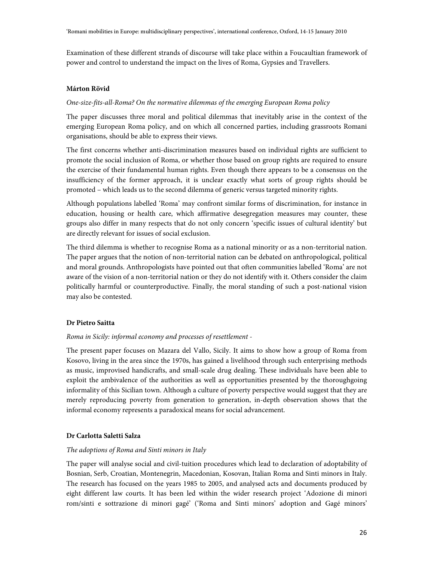Examination of these different strands of discourse will take place within a Foucaultian framework of power and control to understand the impact on the lives of Roma, Gypsies and Travellers.

### **Márton Rövid**

# One-size-fits-all-Roma? On the normative dilemmas of the emerging European Roma policy

The paper discusses three moral and political dilemmas that inevitably arise in the context of the emerging European Roma policy, and on which all concerned parties, including grassroots Romani organisations, should be able to express their views.

The first concerns whether anti-discrimination measures based on individual rights are sufficient to promote the social inclusion of Roma, or whether those based on group rights are required to ensure the exercise of their fundamental human rights. Even though there appears to be a consensus on the insufficiency of the former approach, it is unclear exactly what sorts of group rights should be promoted – which leads us to the second dilemma of generic versus targeted minority rights.

Although populations labelled 'Roma' may confront similar forms of discrimination, for instance in education, housing or health care, which affirmative desegregation measures may counter, these groups also differ in many respects that do not only concern 'specific issues of cultural identity' but are directly relevant for issues of social exclusion.

The third dilemma is whether to recognise Roma as a national minority or as a non-territorial nation. The paper argues that the notion of non-territorial nation can be debated on anthropological, political and moral grounds. Anthropologists have pointed out that often communities labelled 'Roma' are not aware of the vision of a non-territorial nation or they do not identify with it. Others consider the claim politically harmful or counterproductive. Finally, the moral standing of such a post-national vision may also be contested.

### **Dr Pietro Saitta**

### Roma in Sicily: informal economy and processes of resettlement -

The present paper focuses on Mazara del Vallo, Sicily. It aims to show how a group of Roma from Kosovo, living in the area since the 1970s, has gained a livelihood through such enterprising methods as music, improvised handicrafts, and small-scale drug dealing. These individuals have been able to exploit the ambivalence of the authorities as well as opportunities presented by the thoroughgoing informality of this Sicilian town. Although a culture of poverty perspective would suggest that they are merely reproducing poverty from generation to generation, in-depth observation shows that the informal economy represents a paradoxical means for social advancement.

# **Dr Carlotta Saletti Salza**

### The adoptions of Roma and Sinti minors in Italy

The paper will analyse social and civil-tuition procedures which lead to declaration of adoptability of Bosnian, Serb, Croatian, Montenegrin, Macedonian, Kosovan, Italian Roma and Sinti minors in Italy. The research has focused on the years 1985 to 2005, and analysed acts and documents produced by eight different law courts. It has been led within the wider research project 'Adozione di minori rom/sinti e sottrazione di minori gagé' ('Roma and Sinti minors' adoption and Gagé minors'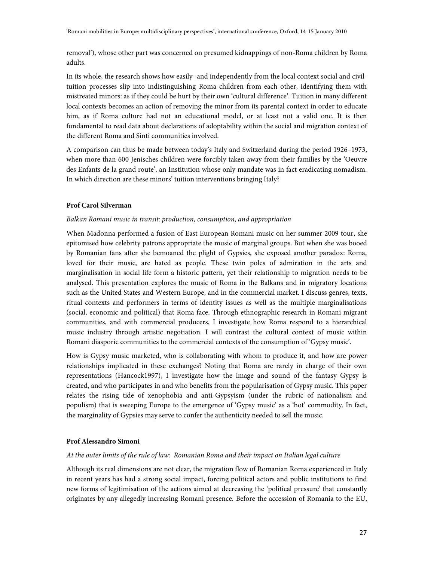removal'), whose other part was concerned on presumed kidnappings of non-Roma children by Roma adults.

In its whole, the research shows how easily -and independently from the local context social and civiltuition processes slip into indistinguishing Roma children from each other, identifying them with mistreated minors: as if they could be hurt by their own 'cultural difference'. Tuition in many different local contexts becomes an action of removing the minor from its parental context in order to educate him, as if Roma culture had not an educational model, or at least not a valid one. It is then fundamental to read data about declarations of adoptability within the social and migration context of the different Roma and Sinti communities involved.

A comparison can thus be made between today's Italy and Switzerland during the period 1926–1973, when more than 600 Jenisches children were forcibly taken away from their families by the 'Oeuvre des Enfants de la grand route', an Institution whose only mandate was in fact eradicating nomadism. In which direction are these minors' tuition interventions bringing Italy?

### **Prof Carol Silverman**

### Balkan Romani music in transit: production, consumption, and appropriation

When Madonna performed a fusion of East European Romani music on her summer 2009 tour, she epitomised how celebrity patrons appropriate the music of marginal groups. But when she was booed by Romanian fans after she bemoaned the plight of Gypsies, she exposed another paradox: Roma, loved for their music, are hated as people. These twin poles of admiration in the arts and marginalisation in social life form a historic pattern, yet their relationship to migration needs to be analysed. This presentation explores the music of Roma in the Balkans and in migratory locations such as the United States and Western Europe, and in the commercial market. I discuss genres, texts, ritual contexts and performers in terms of identity issues as well as the multiple marginalisations (social, economic and political) that Roma face. Through ethnographic research in Romani migrant communities, and with commercial producers, I investigate how Roma respond to a hierarchical music industry through artistic negotiation. I will contrast the cultural context of music within Romani diasporic communities to the commercial contexts of the consumption of 'Gypsy music'.

How is Gypsy music marketed, who is collaborating with whom to produce it, and how are power relationships implicated in these exchanges? Noting that Roma are rarely in charge of their own representations (Hancock1997), I investigate how the image and sound of the fantasy Gypsy is created, and who participates in and who benefits from the popularisation of Gypsy music. This paper relates the rising tide of xenophobia and anti-Gypsyism (under the rubric of nationalism and populism) that is sweeping Europe to the emergence of 'Gypsy music' as a 'hot' commodity. In fact, the marginality of Gypsies may serve to confer the authenticity needed to sell the music.

### **Prof Alessandro Simoni**

# At the outer limits of the rule of law: Romanian Roma and their impact on Italian legal culture

Although its real dimensions are not clear, the migration flow of Romanian Roma experienced in Italy in recent years has had a strong social impact, forcing political actors and public institutions to find new forms of legitimisation of the actions aimed at decreasing the 'political pressure' that constantly originates by any allegedly increasing Romani presence. Before the accession of Romania to the EU,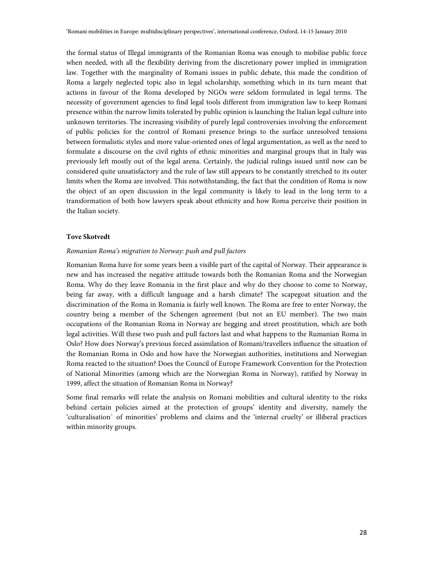the formal status of Illegal immigrants of the Romanian Roma was enough to mobilise public force when needed, with all the flexibility deriving from the discretionary power implied in immigration law. Together with the marginality of Romani issues in public debate, this made the condition of Roma a largely neglected topic also in legal scholarship, something which in its turn meant that actions in favour of the Roma developed by NGOs were seldom formulated in legal terms. The necessity of government agencies to find legal tools different from immigration law to keep Romani presence within the narrow limits tolerated by public opinion is launching the Italian legal culture into unknown territories. The increasing visibility of purely legal controversies involving the enforcement of public policies for the control of Romani presence brings to the surface unresolved tensions between formalistic styles and more value-oriented ones of legal argumentation, as well as the need to formulate a discourse on the civil rights of ethnic minorities and marginal groups that in Italy was previously left mostly out of the legal arena. Certainly, the judicial rulings issued until now can be considered quite unsatisfactory and the rule of law still appears to be constantly stretched to its outer limits when the Roma are involved. This notwithstanding, the fact that the condition of Roma is now the object of an open discussion in the legal community is likely to lead in the long term to a transformation of both how lawyers speak about ethnicity and how Roma perceive their position in the Italian society.

### **Tove Skotvedt**

### Romanian Roma's migration to Norway: push and pull factors

Romanian Roma have for some years been a visible part of the capital of Norway. Their appearance is new and has increased the negative attitude towards both the Romanian Roma and the Norwegian Roma. Why do they leave Romania in the first place and why do they choose to come to Norway, being far away, with a difficult language and a harsh climate? The scapegoat situation and the discrimination of the Roma in Romania is fairly well known. The Roma are free to enter Norway, the country being a member of the Schengen agreement (but not an EU member). The two main occupations of the Romanian Roma in Norway are begging and street prostitution, which are both legal activities. Will these two push and pull factors last and what happens to the Rumanian Roma in Oslo? How does Norway's previous forced assimilation of Romani/travellers influence the situation of the Romanian Roma in Oslo and how have the Norwegian authorities, institutions and Norwegian Roma reacted to the situation? Does the Council of Europe Framework Convention for the Protection of National Minorities (among which are the Norwegian Roma in Norway), ratified by Norway in 1999, affect the situation of Romanian Roma in Norway?

Some final remarks will relate the analysis on Romani mobilities and cultural identity to the risks behind certain policies aimed at the protection of groups' identity and diversity, namely the 'culturalisation` of minorities' problems and claims and the 'internal cruelty' or illiberal practices within minority groups.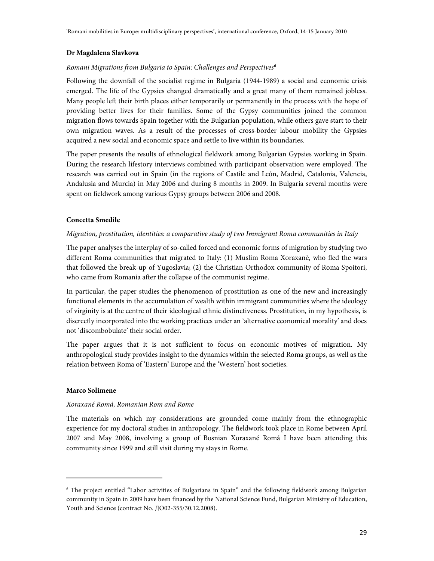# **Dr Magdalena Slavkova**

# Romani Migrations from Bulgaria to Spain: Challenges and Perspectives**<sup>6</sup>**

Following the downfall of the socialist regime in Bulgaria (1944-1989) a social and economic crisis emerged. The life of the Gypsies changed dramatically and a great many of them remained jobless. Many people left their birth places either temporarily or permanently in the process with the hope of providing better lives for their families. Some of the Gypsy communities joined the common migration flows towards Spain together with the Bulgarian population, while others gave start to their own migration waves. As a result of the processes of cross-border labour mobility the Gypsies acquired a new social and economic space and settle to live within its boundaries.

The paper presents the results of ethnological fieldwork among Bulgarian Gypsies working in Spain. During the research lifestory interviews combined with participant observation were employed. The research was carried out in Spain (in the regions of Castile and León, Madrid, Catalonia, Valencia, Andalusia and Murcia) in May 2006 and during 8 months in 2009. In Bulgaria several months were spent on fieldwork among various Gypsy groups between 2006 and 2008.

# **Concetta Smedile**

# Migration, prostitution, identities: a comparative study of two Immigrant Roma communities in Italy

The paper analyses the interplay of so-called forced and economic forms of migration by studying two different Roma communities that migrated to Italy: (1) Muslim Roma Xoraxanè, who fled the wars that followed the break-up of Yugoslavia; (2) the Christian Orthodox community of Roma Spoitori, who came from Romania after the collapse of the communist regime.

In particular, the paper studies the phenomenon of prostitution as one of the new and increasingly functional elements in the accumulation of wealth within immigrant communities where the ideology of virginity is at the centre of their ideological ethnic distinctiveness. Prostitution, in my hypothesis, is discreetly incorporated into the working practices under an 'alternative economical morality' and does not 'discombobulate' their social order.

The paper argues that it is not sufficient to focus on economic motives of migration. My anthropological study provides insight to the dynamics within the selected Roma groups, as well as the relation between Roma of 'Eastern' Europe and the 'Western' host societies.

# **Marco Solimene**

 $\overline{a}$ 

# Xoraxané Romá, Romanian Rom and Rome

The materials on which my considerations are grounded come mainly from the ethnographic experience for my doctoral studies in anthropology. The fieldwork took place in Rome between April 2007 and May 2008, involving a group of Bosnian Xoraxané Romá I have been attending this community since 1999 and still visit during my stays in Rome.

<sup>6</sup> The project entitled "Labor activities of Bulgarians in Spain" and the following fieldwork among Bulgarian community in Spain in 2009 have been financed by the National Science Fund, Bulgarian Ministry of Education, Youth and Science (contract No. ДО02-355/30.12.2008).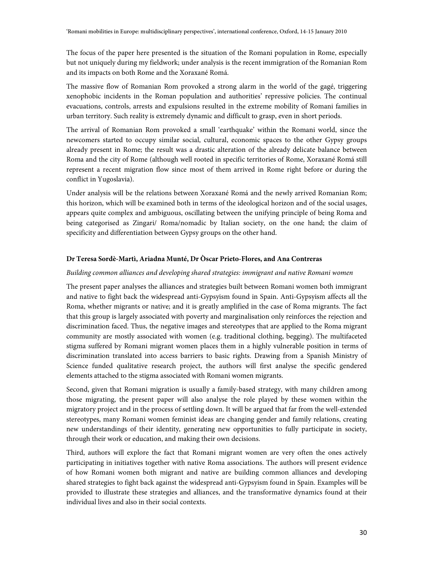The focus of the paper here presented is the situation of the Romani population in Rome, especially but not uniquely during my fieldwork; under analysis is the recent immigration of the Romanian Rom and its impacts on both Rome and the Xoraxané Romá.

The massive flow of Romanian Rom provoked a strong alarm in the world of the gagé, triggering xenophobic incidents in the Roman population and authorities' repressive policies. The continual evacuations, controls, arrests and expulsions resulted in the extreme mobility of Romani families in urban territory. Such reality is extremely dynamic and difficult to grasp, even in short periods.

The arrival of Romanian Rom provoked a small 'earthquake' within the Romani world, since the newcomers started to occupy similar social, cultural, economic spaces to the other Gypsy groups already present in Rome; the result was a drastic alteration of the already delicate balance between Roma and the city of Rome (although well rooted in specific territories of Rome, Xoraxané Romá still represent a recent migration flow since most of them arrived in Rome right before or during the conflict in Yugoslavia).

Under analysis will be the relations between Xoraxané Romá and the newly arrived Romanian Rom; this horizon, which will be examined both in terms of the ideological horizon and of the social usages, appears quite complex and ambiguous, oscillating between the unifying principle of being Roma and being categorised as Zingari/ Roma/nomadic by Italian society, on the one hand; the claim of specificity and differentiation between Gypsy groups on the other hand.

# **Dr Teresa Sordè-Martì, Ariadna Munté, Dr Òscar Prieto-Flores, and Ana Contreras**

### Building common alliances and developing shared strategies: immigrant and native Romani women

The present paper analyses the alliances and strategies built between Romani women both immigrant and native to fight back the widespread anti-Gypsyism found in Spain. Anti-Gypsyism affects all the Roma, whether migrants or native; and it is greatly amplified in the case of Roma migrants. The fact that this group is largely associated with poverty and marginalisation only reinforces the rejection and discrimination faced. Thus, the negative images and stereotypes that are applied to the Roma migrant community are mostly associated with women (e.g. traditional clothing, begging). The multifaceted stigma suffered by Romani migrant women places them in a highly vulnerable position in terms of discrimination translated into access barriers to basic rights. Drawing from a Spanish Ministry of Science funded qualitative research project, the authors will first analyse the specific gendered elements attached to the stigma associated with Romani women migrants.

Second, given that Romani migration is usually a family-based strategy, with many children among those migrating, the present paper will also analyse the role played by these women within the migratory project and in the process of settling down. It will be argued that far from the well-extended stereotypes, many Romani women feminist ideas are changing gender and family relations, creating new understandings of their identity, generating new opportunities to fully participate in society, through their work or education, and making their own decisions.

Third, authors will explore the fact that Romani migrant women are very often the ones actively participating in initiatives together with native Roma associations. The authors will present evidence of how Romani women both migrant and native are building common alliances and developing shared strategies to fight back against the widespread anti-Gypsyism found in Spain. Examples will be provided to illustrate these strategies and alliances, and the transformative dynamics found at their individual lives and also in their social contexts.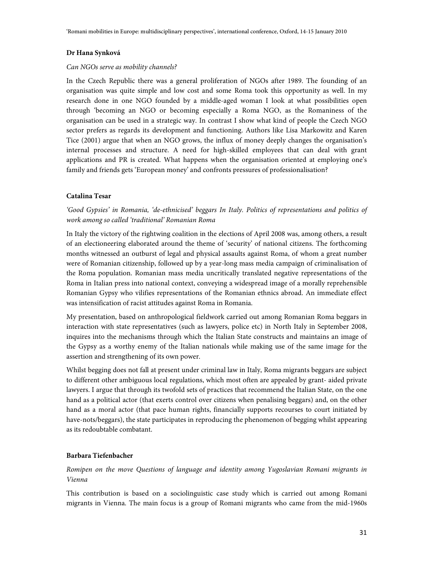### **Dr Hana Synková**

#### Can NGOs serve as mobility channels?

In the Czech Republic there was a general proliferation of NGOs after 1989. The founding of an organisation was quite simple and low cost and some Roma took this opportunity as well. In my research done in one NGO founded by a middle-aged woman I look at what possibilities open through 'becoming an NGO or becoming especially a Roma NGO, as the Romaniness of the organisation can be used in a strategic way. In contrast I show what kind of people the Czech NGO sector prefers as regards its development and functioning. Authors like Lisa Markowitz and Karen Tice (2001) argue that when an NGO grows, the influx of money deeply changes the organisation's internal processes and structure. A need for high-skilled employees that can deal with grant applications and PR is created. What happens when the organisation oriented at employing one's family and friends gets 'European money' and confronts pressures of professionalisation?

### **Catalina Tesar**

'Good Gypsies' in Romania, 'de-ethnicised' beggars In Italy. Politics of representations and politics of work among so called 'traditional' Romanian Roma

In Italy the victory of the rightwing coalition in the elections of April 2008 was, among others, a result of an electioneering elaborated around the theme of 'security' of national citizens. The forthcoming months witnessed an outburst of legal and physical assaults against Roma, of whom a great number were of Romanian citizenship, followed up by a year-long mass media campaign of criminalisation of the Roma population. Romanian mass media uncritically translated negative representations of the Roma in Italian press into national context, conveying a widespread image of a morally reprehensible Romanian Gypsy who vilifies representations of the Romanian ethnics abroad. An immediate effect was intensification of racist attitudes against Roma in Romania.

My presentation, based on anthropological fieldwork carried out among Romanian Roma beggars in interaction with state representatives (such as lawyers, police etc) in North Italy in September 2008, inquires into the mechanisms through which the Italian State constructs and maintains an image of the Gypsy as a worthy enemy of the Italian nationals while making use of the same image for the assertion and strengthening of its own power.

Whilst begging does not fall at present under criminal law in Italy, Roma migrants beggars are subject to different other ambiguous local regulations, which most often are appealed by grant- aided private lawyers. I argue that through its twofold sets of practices that recommend the Italian State, on the one hand as a political actor (that exerts control over citizens when penalising beggars) and, on the other hand as a moral actor (that pace human rights, financially supports recourses to court initiated by have-nots/beggars), the state participates in reproducing the phenomenon of begging whilst appearing as its redoubtable combatant.

### **Barbara Tiefenbacher**

Romipen on the move Questions of language and identity among Yugoslavian Romani migrants in Vienna

This contribution is based on a sociolinguistic case study which is carried out among Romani migrants in Vienna. The main focus is a group of Romani migrants who came from the mid-1960s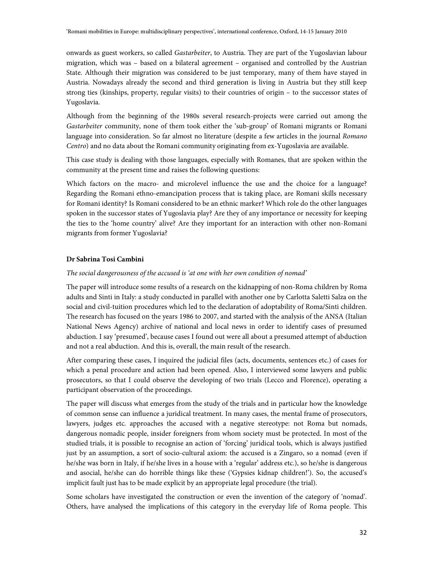onwards as guest workers, so called Gastarbeiter, to Austria. They are part of the Yugoslavian labour migration, which was – based on a bilateral agreement – organised and controlled by the Austrian State. Although their migration was considered to be just temporary, many of them have stayed in Austria. Nowadays already the second and third generation is living in Austria but they still keep strong ties (kinships, property, regular visits) to their countries of origin – to the successor states of Yugoslavia.

Although from the beginning of the 1980s several research-projects were carried out among the Gastarbeiter community, none of them took either the 'sub-group' of Romani migrants or Romani language into consideration. So far almost no literature (despite a few articles in the journal Romano Centro) and no data about the Romani community originating from ex-Yugoslavia are available.

This case study is dealing with those languages, especially with Romanes, that are spoken within the community at the present time and raises the following questions:

Which factors on the macro- and microlevel influence the use and the choice for a language? Regarding the Romani ethno-emancipation process that is taking place, are Romani skills necessary for Romani identity? Is Romani considered to be an ethnic marker? Which role do the other languages spoken in the successor states of Yugoslavia play? Are they of any importance or necessity for keeping the ties to the 'home country' alive? Are they important for an interaction with other non-Romani migrants from former Yugoslavia?

# **Dr Sabrina Tosi Cambini**

### The social dangerousness of the accused is 'at one with her own condition of nomad'

The paper will introduce some results of a research on the kidnapping of non-Roma children by Roma adults and Sinti in Italy: a study conducted in parallel with another one by Carlotta Saletti Salza on the social and civil-tuition procedures which led to the declaration of adoptability of Roma/Sinti children. The research has focused on the years 1986 to 2007, and started with the analysis of the ANSA (Italian National News Agency) archive of national and local news in order to identify cases of presumed abduction. I say 'presumed', because cases I found out were all about a presumed attempt of abduction and not a real abduction. And this is, overall, the main result of the research.

After comparing these cases, I inquired the judicial files (acts, documents, sentences etc.) of cases for which a penal procedure and action had been opened. Also, I interviewed some lawyers and public prosecutors, so that I could observe the developing of two trials (Lecco and Florence), operating a participant observation of the proceedings.

The paper will discuss what emerges from the study of the trials and in particular how the knowledge of common sense can influence a juridical treatment. In many cases, the mental frame of prosecutors, lawyers, judges etc. approaches the accused with a negative stereotype: not Roma but nomads, dangerous nomadic people, insider foreigners from whom society must be protected. In most of the studied trials, it is possible to recognise an action of 'forcing' juridical tools, which is always justified just by an assumption, a sort of socio-cultural axiom: the accused is a Zingaro, so a nomad (even if he/she was born in Italy, if he/she lives in a house with a 'regular' address etc.), so he/she is dangerous and asocial, he/she can do horrible things like these ('Gypsies kidnap children!'). So, the accused's implicit fault just has to be made explicit by an appropriate legal procedure (the trial).

Some scholars have investigated the construction or even the invention of the category of 'nomad'. Others, have analysed the implications of this category in the everyday life of Roma people. This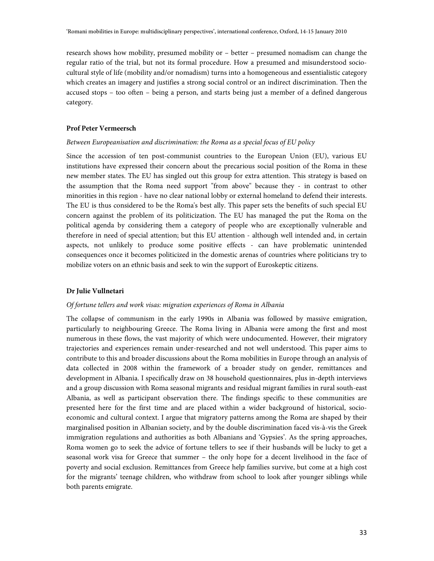research shows how mobility, presumed mobility or – better – presumed nomadism can change the regular ratio of the trial, but not its formal procedure. How a presumed and misunderstood sociocultural style of life (mobility and/or nomadism) turns into a homogeneous and essentialistic category which creates an imagery and justifies a strong social control or an indirect discrimination. Then the accused stops – too often – being a person, and starts being just a member of a defined dangerous category.

### **Prof Peter Vermeersch**

### Between Europeanisation and discrimination: the Roma as a special focus of EU policy

Since the accession of ten post-communist countries to the European Union (EU), various EU institutions have expressed their concern about the precarious social position of the Roma in these new member states. The EU has singled out this group for extra attention. This strategy is based on the assumption that the Roma need support "from above" because they - in contrast to other minorities in this region - have no clear national lobby or external homeland to defend their interests. The EU is thus considered to be the Roma's best ally. This paper sets the benefits of such special EU concern against the problem of its politicization. The EU has managed the put the Roma on the political agenda by considering them a category of people who are exceptionally vulnerable and therefore in need of special attention; but this EU attention - although well intended and, in certain aspects, not unlikely to produce some positive effects - can have problematic unintended consequences once it becomes politicized in the domestic arenas of countries where politicians try to mobilize voters on an ethnic basis and seek to win the support of Euroskeptic citizens.

#### **Dr Julie Vullnetari**

### Of fortune tellers and work visas: migration experiences of Roma in Albania

The collapse of communism in the early 1990s in Albania was followed by massive emigration, particularly to neighbouring Greece. The Roma living in Albania were among the first and most numerous in these flows, the vast majority of which were undocumented. However, their migratory trajectories and experiences remain under-researched and not well understood. This paper aims to contribute to this and broader discussions about the Roma mobilities in Europe through an analysis of data collected in 2008 within the framework of a broader study on gender, remittances and development in Albania. I specifically draw on 38 household questionnaires, plus in-depth interviews and a group discussion with Roma seasonal migrants and residual migrant families in rural south-east Albania, as well as participant observation there. The findings specific to these communities are presented here for the first time and are placed within a wider background of historical, socioeconomic and cultural context. I argue that migratory patterns among the Roma are shaped by their marginalised position in Albanian society, and by the double discrimination faced vis-à-vis the Greek immigration regulations and authorities as both Albanians and 'Gypsies'. As the spring approaches, Roma women go to seek the advice of fortune tellers to see if their husbands will be lucky to get a seasonal work visa for Greece that summer – the only hope for a decent livelihood in the face of poverty and social exclusion. Remittances from Greece help families survive, but come at a high cost for the migrants' teenage children, who withdraw from school to look after younger siblings while both parents emigrate.